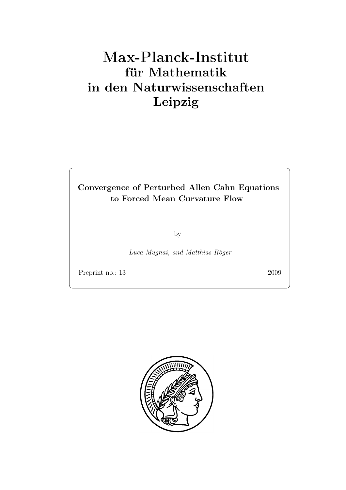# Max-Plan
k-Institut für Mathematik in den Naturwissenschaften Leipzig

# Convergence of Perturbed Allen Cahn Equations to Forced Mean Curvature Flow

by

Luca Muqnai, and Matthias Röger

Preprint no.: 13 2009

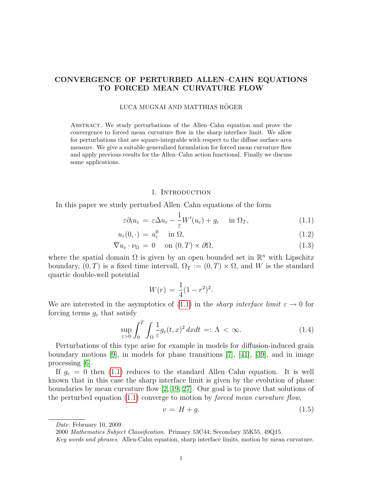### CONVERGENCE OF PERTURBED ALLEN–CAHN EQUATIONS TO FORCED MEAN CURVATURE FLOW

#### LUCA MUGNAI AND MATTHIAS RÖGER

Abstract. We study perturbations of the Allen–Cahn equation and prove the convergence to forced mean curvature flow in the sharp interface limit. We allow for perturbations that are square-integrable with respect to the diffuse surface area measure. We give a suitable generalized formulation for forced mean curvature flow and apply previous results for the Allen–Cahn action functional. Finally we discuss some applications.

#### <span id="page-2-3"></span><span id="page-2-0"></span>1. INTRODUCTION

In this paper we study perturbed Allen–Cahn equations of the form

$$
\varepsilon \partial_t u_{\varepsilon} = \varepsilon \Delta u_{\varepsilon} - \frac{1}{\varepsilon} W'(u_{\varepsilon}) + g_{\varepsilon} \quad \text{in } \Omega_T,
$$
\n(1.1)

$$
u_{\varepsilon}(0,\cdot) = u_{\varepsilon}^{0} \quad \text{in } \Omega, \tag{1.2}
$$

$$
\nabla u_{\varepsilon} \cdot \nu_{\Omega} = 0 \quad \text{on } (0, T) \times \partial \Omega,
$$
\n(1.3)

where the spatial domain  $\Omega$  is given by an open bounded set in  $\mathbb{R}^n$  with Lipschitz boundary,  $(0, T)$  is a fixed time intervall,  $\Omega_T := (0, T) \times \Omega$ , and W is the standard quartic double-well potential

<span id="page-2-2"></span>
$$
W(r) = \frac{1}{4}(1 - r^2)^2.
$$

We are interested in the asymptotics of [\(1.1\)](#page-2-0) in the *sharp interface limit*  $\varepsilon \to 0$  for forcing terms  $g_{\varepsilon}$  that satisfy

$$
\sup_{\varepsilon>0} \int_0^T \int_{\Omega} \frac{1}{\varepsilon} g_{\varepsilon}(t,x)^2 dxdt =: \Lambda < \infty.
$$
 (1.4)

Perturbations of this type arise for example in models for diffusion-induced grain boundary motions [\[9\]](#page-23-0), in models for phase transitions [\[7\]](#page-22-0), [\[41\]](#page-24-0), [\[39\]](#page-24-1), and in image processing [\[6\]](#page-22-1).

If  $g_{\varepsilon} = 0$  then [\(1.1\)](#page-2-0) reduces to the standard Allen–Cahn equation. It is well known that in this case the sharp interface limit is given by the evolution of phase boundaries by mean curvature flow [\[2,](#page-22-2) [19,](#page-23-1) [27\]](#page-23-2). Our goal is to prove that solutions of the perturbed equation  $(1.1)$  converge to motion by *forced mean curvature flow*,

<span id="page-2-1"></span>
$$
v = H + g. \tag{1.5}
$$

Date: February 10, 2009.

<sup>2000</sup> Mathematics Subject Classification. Primary 53C44; Secondary 35K55, 49Q15.

Key words and phrases. Allen-Cahn equation, sharp interface limits, motion by mean curvature.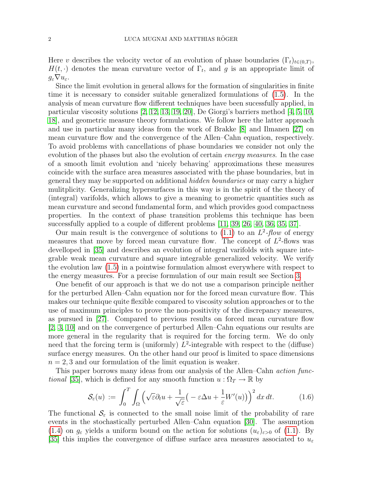Here v describes the velocity vector of an evolution of phase boundaries  $(\Gamma_t)_{t\in(0,T)}$ ,  $H(t, \cdot)$  denotes the mean curvature vector of  $\Gamma_t$ , and g is an appropriate limit of  $g_{\varepsilon} \nabla u_{\varepsilon}$ .

Since the limit evolution in general allows for the formation of singularities in finite time it is necessary to consider suitable generalized formulations of [\(1.5\)](#page-2-1). In the analysis of mean curvature flow different techniques have been sucessfully applied, in particular viscosity solutions [\[2,](#page-22-2) [12,](#page-23-3) [13,](#page-23-4) [19,](#page-23-1) [20\]](#page-23-5), De Giorgi's barriers method [\[4,](#page-22-3) [5,](#page-22-4) [10,](#page-23-6) [18\]](#page-23-7), and geometric measure theory formulations. We follow here the latter approach and use in particular many ideas from the work of Brakke [\[8\]](#page-23-8) and Ilmanen [\[27\]](#page-23-2) on mean curvature flow and the convergence of the Allen–Cahn equation, respectively. To avoid problems with cancellations of phase boundaries we consider not only the evolution of the phases but also the evolution of certain *energy measures*. In the case of a smooth limit evolution and 'nicely behaving' approximations these measures coincide with the surface area measures associated with the phase boundaries, but in general they may be supported on additional hidden boundaries or may carry a higher mulitplicity. Generalizing hypersurfaces in this way is in the spirit of the theory of (integral) varifolds, which allows to give a meaning to geometric quantities such as mean curvature and second fundamental form, and which provides good compactness properties. In the context of phase transition problems this technique has been successfully applied to a couple of different problems [\[11,](#page-23-9) [39,](#page-24-1) [26,](#page-23-10) [40,](#page-24-2) [36,](#page-24-3) [35,](#page-24-4) [37\]](#page-24-5).

Our main result is the convergence of solutions to  $(1.1)$  to an  $L^2$ -flow of energy measures that move by forced mean curvature flow. The concept of  $L^2$ -flows was develloped in [\[35\]](#page-24-4) and describes an evolution of integral varifolds with square integrable weak mean curvature and square integrable generalized velocity. We verify the evolution law [\(1.5\)](#page-2-1) in a pointwise formulation almost everywhere with respect to the energy measures. For a precise formulation of our main result see Section [3.](#page-6-0)

One benefit of our approach is that we do not use a comparison principle neither for the perturbed Allen–Cahn equation nor for the forced mean curvature flow. This makes our technique quite flexible compared to viscosity solution approaches or to the use of maximum principles to prove the non-positivity of the discrepancy measures, as pursued in [\[27\]](#page-23-2). Compared to previous results on forced mean curvature flow [\[2,](#page-22-2) [3,](#page-22-5) [10\]](#page-23-6) and on the convergence of perturbed Allen–Cahn equations our results are more general in the regularity that is required for the forcing term. We do only need that the forcing term is (uniformly)  $L^2$ -integrable with respect to the (diffuse) surface energy measures. On the other hand our proof is limited to space dimensions  $n = 2, 3$  and our formulation of the limit equation is weaker.

This paper borrows many ideas from our analysis of the Allen–Cahn action func*tional* [\[35\]](#page-24-4), which is defined for any smooth function  $u : \Omega_T \to \mathbb{R}$  by

$$
\mathcal{S}_{\varepsilon}(u) := \int_0^T \int_{\Omega} \left( \sqrt{\varepsilon} \partial_t u + \frac{1}{\sqrt{\varepsilon}} \left( -\varepsilon \Delta u + \frac{1}{\varepsilon} W'(u) \right) \right)^2 dx dt. \tag{1.6}
$$

The functional  $\mathcal{S}_{\varepsilon}$  is connected to the small noise limit of the probability of rare events in the stochastically perturbed Allen–Cahn equation [\[30\]](#page-23-11). The assumption  $(1.4)$  on  $g_{\varepsilon}$  yields a uniform bound on the action for solutions  $(u_{\varepsilon})_{\varepsilon>0}$  of  $(1.1)$ . By [\[35\]](#page-24-4) this implies the convergence of diffuse surface area measures associated to  $u_{\varepsilon}$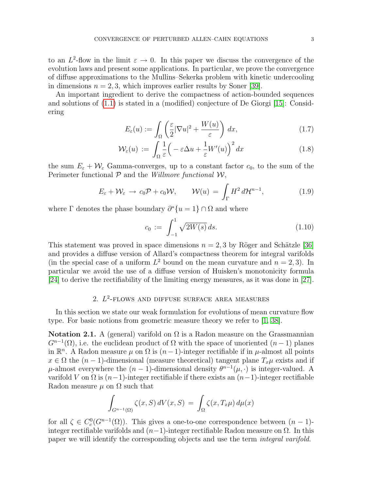to an  $L^2$ -flow in the limit  $\varepsilon \to 0$ . In this paper we discuss the convergence of the evolution laws and present some applications. In particular, we prove the convergence of diffuse approximations to the Mullins–Sekerka problem with kinetic undercooling in dimensions  $n = 2, 3$ , which improves earlier results by Soner [\[39\]](#page-24-1).

An important ingredient to derive the compactness of action-bounded sequences and solutions of [\(1.1\)](#page-2-0) is stated in a (modified) conjecture of De Giorgi [\[15\]](#page-23-12): Considering

$$
E_{\varepsilon}(u) := \int_{\Omega} \left( \frac{\varepsilon}{2} |\nabla u|^2 + \frac{W(u)}{\varepsilon} \right) dx, \tag{1.7}
$$

$$
\mathcal{W}_{\varepsilon}(u) := \int_{\Omega} \frac{1}{\varepsilon} \Big( -\varepsilon \Delta u + \frac{1}{\varepsilon} W'(u) \Big)^2 dx \tag{1.8}
$$

the sum  $E_{\varepsilon} + \mathcal{W}_{\varepsilon}$  Gamma-converges, up to a constant factor  $c_0$ , to the sum of the Perimeter functional  $P$  and the *Willmore functional*  $W$ ,

$$
E_{\varepsilon} + \mathcal{W}_{\varepsilon} \to c_0 \mathcal{P} + c_0 \mathcal{W}, \qquad \mathcal{W}(u) = \int_{\Gamma} H^2 d\mathcal{H}^{n-1}, \tag{1.9}
$$

where  $\Gamma$  denotes the phase boundary  $\partial^* \{u = 1\} \cap \Omega$  and where

$$
c_0 := \int_{-1}^{1} \sqrt{2W(s)} \, ds. \tag{1.10}
$$

This statement was proved in space dimensions  $n = 2, 3$  by Röger and Schätzle [\[36\]](#page-24-3) and provides a diffuse version of Allard's compactness theorem for integral varifolds (in the special case of a uniform  $L^2$  bound on the mean curvature and  $n = 2, 3$ ). In particular we avoid the use of a diffuse version of Huisken's monotonicity formula [\[24\]](#page-23-13) to derive the rectifiability of the limiting energy measures, as it was done in [\[27\]](#page-23-2).

## 2.  $L^2$ -FLOWS AND DIFFUSE SURFACE AREA MEASURES

In this section we state our weak formulation for evolutions of mean curvature flow type. For basic notions from geometric measure theory we refer to [\[1,](#page-22-6) [38\]](#page-24-6).

**Notation 2.1.** A (general) varifold on  $\Omega$  is a Radon measure on the Grassmannian  $G^{n-1}(\Omega)$ , i.e. the euclidean product of  $\Omega$  with the space of unoriented  $(n-1)$  planes in  $\mathbb{R}^n$ . A Radon measure  $\mu$  on  $\Omega$  is  $(n-1)$ -integer rectifiable if in  $\mu$ -almost all points  $x \in \Omega$  the  $(n-1)$ -dimensional (measure theoretical) tangent plane  $T_x\mu$  exists and if  $\mu$ -almost everywhere the  $(n-1)$ -dimensional density  $\theta^{n-1}(\mu, \cdot)$  is integer-valued. A varifold V on  $\Omega$  is  $(n-1)$ -integer rectifiable if there exists an  $(n-1)$ -integer rectifiable Radon measure  $\mu$  on  $\Omega$  such that

$$
\int_{G^{n-1}(\Omega)} \zeta(x, S) dV(x, S) = \int_{\Omega} \zeta(x, T_x \mu) d\mu(x)
$$

for all  $\zeta \in C_c^0(G^{n-1}(\Omega))$ . This gives a one-to-one correspondence between  $(n-1)$ integer rectifiable varifolds and  $(n-1)$ -integer rectifiable Radon measure on  $\Omega$ . In this paper we will identify the corresponding objects and use the term integral varifold.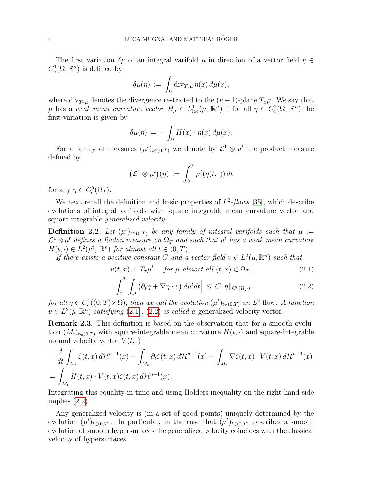The first variation  $\delta\mu$  of an integral varifold  $\mu$  in direction of a vector field  $\eta \in$  $C_c^1(\Omega,\mathbb{R}^n)$  is defined by

$$
\delta\mu(\eta) \, := \, \int_{\Omega} {\rm div}_{T_x\mu}\, \eta(x)\,d\mu(x),
$$

where  $\text{div}_{T_x\mu}$  denotes the divergence restricted to the  $(n-1)$ -plane  $T_x\mu$ . We say that  $\mu$  has a weak mean curvature vector  $H_{\mu} \in L^{1}_{loc}(\mu, \mathbb{R}^{n})$  if for all  $\eta \in C^{1}_{c}(\Omega, \mathbb{R}^{n})$  the first variation is given by

$$
\delta\mu(\eta) = -\int_{\Omega} H(x) \cdot \eta(x) \, d\mu(x).
$$

For a family of measures  $(\mu^t)_{t\in(0,T)}$  we denote by  $\mathcal{L}^1\otimes\mu^t$  the product measure defined by

$$
\left(\mathcal{L}^1\otimes\mu^t\right)(\eta) \;:=\; \int_0^T\mu^t(\eta(t,\cdot))\,dt
$$

for any  $\eta \in C_c^0(\Omega_T)$ .

We next recall the definition and basic properties of  $L^2$ -flows [\[35\]](#page-24-4), which describe evolutions of integral varifolds with square integrable mean curvature vector and square integrable generalized velocity.

<span id="page-5-2"></span>**Definition 2.2.** Let  $(\mu^t)_{t \in (0,T)}$  be any family of integral varifolds such that  $\mu :=$  $\mathcal{L}^1\otimes\mu^t$  defines a Radon measure on  $\Omega_T$  and such that  $\mu^t$  has a weak mean curvature  $H(t, \cdot) \in L^2(\mu^t, \mathbb{R}^n)$  for almost all  $t \in (0, T)$ .

If there exists a positive constant C and a vector field  $v \in L^2(\mu, \mathbb{R}^n)$  such that

<span id="page-5-0"></span>
$$
v(t,x) \perp T_x \mu^t \quad \text{for } \mu\text{-almost all } (t,x) \in \Omega_T,
$$
 (2.1)

<span id="page-5-1"></span>
$$
\left| \int_0^T \int_{\Omega} \left( \partial_t \eta + \nabla \eta \cdot v \right) d\mu^t dt \right| \leq C ||\eta||_{C^0(\Omega_T)}
$$
\n(2.2)

for all  $\eta \in C_c^1((0,T)\times\Omega)$ , then we call the evolution  $(\mu^t)_{t\in(0,T)}$  an  $L^2$ -flow. A function  $v \in L^2(\mu, \mathbb{R}^n)$  satisfying [\(2.1\)](#page-5-0), [\(2.2\)](#page-5-1) is called a generalized velocity vector.

Remark 2.3. This definition is based on the observation that for a smooth evolution  $(M_t)_{t\in(0,T)}$  with square-integrable mean curvature  $H(t, \cdot)$  and square-integrable normal velocity vector  $V(t, \cdot)$ 

$$
\frac{d}{dt} \int_{M_t} \zeta(t, x) d\mathcal{H}^{n-1}(x) - \int_{M_t} \partial_t \zeta(t, x) d\mathcal{H}^{n-1}(x) - \int_{M_t} \nabla \zeta(t, x) \cdot V(t, x) d\mathcal{H}^{n-1}(x)
$$
\n
$$
= \int_{M_t} H(t, x) \cdot V(t, x) \zeta(t, x) d\mathcal{H}^{n-1}(x).
$$

Integrating this equality in time and using Hölders inequality on the right-hand side implies [\(2.2\)](#page-5-1).

Any generalized velocity is (in a set of good points) uniquely determined by the evolution  $(\mu^t)_{t\in(0,T)}$ . In particular, in the case that  $(\mu^t)_{t\in(0,T)}$  describes a smooth evolution of smooth hypersurfaces the generalized velocity coincides with the classical velocity of hypersurfaces.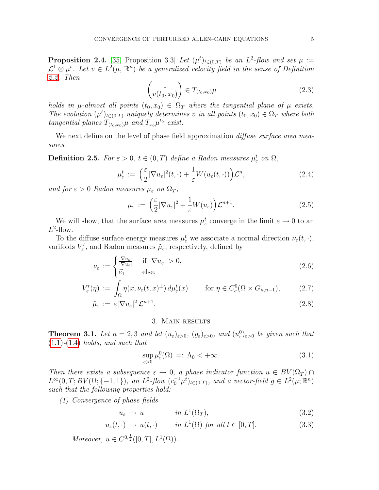**Proposition 2.4.** [\[35,](#page-24-4) Proposition 3.3] Let  $(\mu^t)_{t \in (0,T)}$  be an  $L^2$ -flow and set  $\mu :=$  $\mathcal{L}^1\otimes\mu^t$ . Let  $v\in L^2(\mu,\mathbb{R}^n)$  be a generalized velocity field in the sense of Definition [2.2.](#page-5-2) Then

<span id="page-6-1"></span>
$$
\begin{pmatrix} 1 \\ v(t_0, x_0) \end{pmatrix} \in T_{(t_0, x_0)} \mu \tag{2.3}
$$

holds in  $\mu$ -almost all points  $(t_0, x_0) \in \Omega_T$  where the tangential plane of  $\mu$  exists. The evolution  $(\mu^t)_{t \in (0,T)}$  uniquely determines v in all points  $(t_0, x_0) \in \Omega_T$  where both tangential planes  $T_{(t_0,x_0)}\mu$  and  $T_{x_0}\mu^{t_0}$  exist.

We next define on the level of phase field approximation *diffuse surface area mea*sures.

**Definition 2.5.** For  $\varepsilon > 0$ ,  $t \in (0, T)$  define a Radon measures  $\mu_{\varepsilon}^{t}$  on  $\Omega$ ,

$$
\mu_{\varepsilon}^{t} := \left(\frac{\varepsilon}{2} |\nabla u_{\varepsilon}|^{2}(t,\cdot) + \frac{1}{\varepsilon} W(u_{\varepsilon}(t,\cdot))\right) \mathcal{L}^{n},\tag{2.4}
$$

and for  $\varepsilon > 0$  Radon measures  $\mu_{\varepsilon}$  on  $\Omega_T$ ,

$$
\mu_{\varepsilon} := \left(\frac{\varepsilon}{2} |\nabla u_{\varepsilon}|^2 + \frac{1}{\varepsilon} W(u_{\varepsilon})\right) \mathcal{L}^{n+1}.
$$
\n(2.5)

We will show, that the surface area measures  $\mu_{\varepsilon}^{t}$  converge in the limit  $\varepsilon \to 0$  to an  $L^2$ -flow.

To the diffuse surface energy measures  $\mu_{\varepsilon}^{t}$  we associate a normal direction  $\nu_{\varepsilon}(t, \cdot),$ varifolds  $V_{\varepsilon}^t$ , and Radon measures  $\tilde{\mu}_{\varepsilon}$ , respectively, defined by

$$
\nu_{\varepsilon} := \begin{cases} \frac{\nabla u_{\varepsilon}}{|\nabla u_{\varepsilon}|} & \text{if } |\nabla u_{\varepsilon}| > 0, \\ \vec{e_1} & \text{else,} \end{cases}
$$
 (2.6)

$$
V_{\varepsilon}^{t}(\eta) := \int_{\Omega} \eta(x, \nu_{\varepsilon}(t, x)^{\perp}) d\mu_{\varepsilon}^{t}(x) \qquad \text{for } \eta \in C_{c}^{0}(\Omega \times G_{n,n-1}), \tag{2.7}
$$

$$
\tilde{\mu}_{\varepsilon} := \varepsilon |\nabla u_{\varepsilon}|^2 \mathcal{L}^{n+1}.
$$
\n(2.8)

#### <span id="page-6-6"></span><span id="page-6-5"></span>3. Main results

<span id="page-6-4"></span><span id="page-6-0"></span>**Theorem 3.1.** Let  $n = 2, 3$  and let  $(u_{\varepsilon})_{\varepsilon>0}$ ,  $(g_{\varepsilon})_{\varepsilon>0}$ , and  $(u_{\varepsilon}^0)_{\varepsilon>0}$  be given such that  $(1.1)-(1.4)$  $(1.1)-(1.4)$  $(1.1)-(1.4)$  holds, and such that

<span id="page-6-3"></span><span id="page-6-2"></span>
$$
\sup_{\varepsilon>0} \mu_{\varepsilon}^{0}(\Omega) =: \Lambda_{0} < +\infty.
$$
\n(3.1)

Then there exists a subsequence  $\varepsilon \to 0$ , a phase indicator function  $u \in BV(\Omega_T) \cap$  $L^{\infty}(0,T;BV(\Omega;\{-1,1\}),$  an  $L^2$ -flow  $(c_0^{-1}\mu^t)_{t\in(0,T)}$ , and a vector-field  $g \in L^2(\mu;\mathbb{R}^n)$ such that the following properties hold:

(1) Convergence of phase fields

$$
u_{\varepsilon} \to u \qquad in \ L^{1}(\Omega_{T}), \tag{3.2}
$$

$$
u_{\varepsilon}(t,\cdot) \to u(t,\cdot) \qquad \text{in } L^1(\Omega) \text{ for all } t \in [0,T]. \tag{3.3}
$$

Moreover,  $u \in C^{0,\frac{1}{2}}([0,T], L^1(\Omega)).$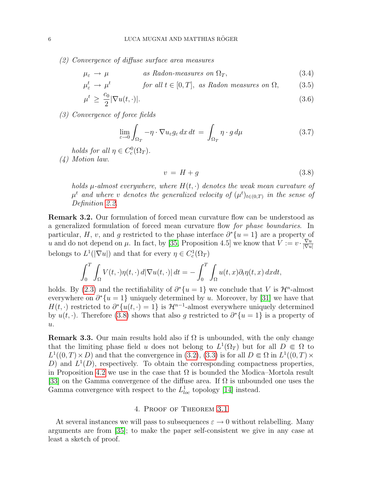(2) Convergence of diffuse surface area measures

$$
\mu_{\varepsilon} \to \mu \qquad \qquad as \, Radon-measures \, on \, \Omega_T, \tag{3.4}
$$

$$
\mu_{\varepsilon}^{t} \to \mu^{t} \qquad \text{for all } t \in [0, T], \text{ as Radon measures on } \Omega, \tag{3.5}
$$

$$
\mu^t \ge \frac{c_0}{2} |\nabla u(t, \cdot)|. \tag{3.6}
$$

(3) Convergence of force fields

$$
\lim_{\varepsilon \to 0} \int_{\Omega_T} -\eta \cdot \nabla u_{\varepsilon} g_{\varepsilon} \, dx \, dt = \int_{\Omega_T} \eta \cdot g \, d\mu \tag{3.7}
$$

holds for all  $\eta \in C_c^0(\Omega_T)$ .

(4) Motion law.

<span id="page-7-4"></span><span id="page-7-3"></span><span id="page-7-2"></span><span id="page-7-1"></span><span id="page-7-0"></span>
$$
v = H + g \tag{3.8}
$$

holds  $\mu$ -almost everywhere, where  $H(t, \cdot)$  denotes the weak mean curvature of  $\mu^t$  and where v denotes the generalized velocity of  $(\mu^t)_{t\in(0,T)}$  in the sense of Definition [2.2.](#page-5-2)

Remark 3.2. Our formulation of forced mean curvature flow can be understood as a generalized formulation of forced mean curvature flow for phase boundaries. In particular, H, v, and g restricted to the phase interface  $\partial^* \{u = 1\}$  are a property of u and do not depend on  $\mu$ . In fact, by [\[35,](#page-24-4) Proposition 4.5] we know that  $V := v \cdot \frac{\nabla u}{\nabla u}$  $|\nabla u|$ belongs to  $L^1(|\nabla u|)$  and that for every  $\eta \in C_c^1(\Omega_T)$ 

$$
\int_0^T \int_{\Omega} V(t, \cdot) \eta(t, \cdot) d|\nabla u(t, \cdot)| dt = - \int_0^T \int_{\Omega} u(t, x) \partial_t \eta(t, x) dx dt,
$$

holds. By [\(2.3\)](#page-6-1) and the rectifiability of  $\partial^*\{u=1\}$  we conclude that V is  $\mathcal{H}^n$ -almost everywhere on  $\partial^*\{u=1\}$  uniquely determined by u. Moreover, by [\[31\]](#page-23-14) we have that  $H(t, \cdot)$  restricted to  $\partial^*\{u(t, \cdot) = 1\}$  is  $\mathcal{H}^{n-1}$ -almost everywhere uniquely determined by  $u(t, \cdot)$ . Therefore [\(3.8\)](#page-7-0) shows that also g restricted to  $\partial^*\{u=1\}$  is a property of  $u$ .

<span id="page-7-5"></span>**Remark 3.3.** Our main results hold also if  $\Omega$  is unbounded, with the only change that the limiting phase field u does not belong to  $L^1(\Omega_T)$  but for all  $D \in \Omega$  to  $L^1((0,T)\times D)$  and that the convergence in [\(3.2\)](#page-6-2), [\(3.3\)](#page-6-3) is for all  $D \in \Omega$  in  $L^1((0,T)\times D)$ D) and  $L^1(D)$ , respectively. To obtain the corresponding compactness properties, in Proposition [4.2](#page-9-0) we use in the case that  $\Omega$  is bounded the Modica–Mortola result [\[33\]](#page-24-7) on the Gamma convergence of the diffuse area. If  $\Omega$  is unbounded one uses the Gamma convergence with respect to the  $L^1_{loc}$  topology [\[14\]](#page-23-15) instead.

#### 4. Proof of Theorem [3.1](#page-6-4)

At several instances we will pass to subsequences  $\varepsilon \to 0$  without relabelling. Many arguments are from [\[35\]](#page-24-4); to make the paper self-consistent we give in any case at least a sketch of proof.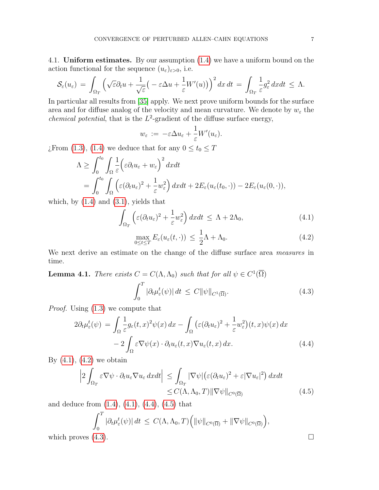4.1. Uniform estimates. By our assumption [\(1.4\)](#page-2-2) we have a uniform bound on the action functional for the sequence  $(u_{\varepsilon})_{\varepsilon>0}$ , i.e.

$$
\mathcal{S}_{\varepsilon}(u_{\varepsilon})\,=\,\int_{\Omega_T}\Big(\sqrt{\varepsilon}\partial_t u+\frac{1}{\sqrt{\varepsilon}}\big(-\varepsilon\Delta u+\frac{1}{\varepsilon}W'(u)\big)\Big)^2\,dx\,dt\,=\,\int_{\Omega_T}\frac{1}{\varepsilon}g_{\varepsilon}^2\,dxdt\,\leq\,\Lambda.
$$

In particular all results from [\[35\]](#page-24-4) apply. We next prove uniform bounds for the surface area and for diffuse analog of the velocity and mean curvature. We denote by  $w_{\varepsilon}$  the *chemical potential*, that is the  $L^2$ -gradient of the diffuse surface energy,

$$
w_{\varepsilon} \, := \, -\varepsilon \Delta u_{\varepsilon} + \frac{1}{\varepsilon} W'(u_{\varepsilon}).
$$

¿From [\(1.3\)](#page-2-3), [\(1.4\)](#page-2-2) we deduce that for any  $0 \le t_0 \le T$ 

$$
\Lambda \geq \int_0^{t_0} \int_{\Omega} \frac{1}{\varepsilon} \Big( \varepsilon \partial_t u_{\varepsilon} + w_{\varepsilon} \Big)^2 dx dt
$$
  
= 
$$
\int_0^{t_0} \int_{\Omega} \Big( \varepsilon (\partial_t u_{\varepsilon})^2 + \frac{1}{\varepsilon} w_{\varepsilon}^2 \Big) dx dt + 2E_{\varepsilon} (u_{\varepsilon}(t_0, \cdot)) - 2E_{\varepsilon} (u_{\varepsilon}(0, \cdot)),
$$

which, by  $(1.4)$  and  $(3.1)$ , yields that

$$
\int_{\Omega_T} \left( \varepsilon (\partial_t u_\varepsilon)^2 + \frac{1}{\varepsilon} w_\varepsilon^2 \right) dx dt \le \Lambda + 2\Lambda_0,
$$
\n(4.1)

<span id="page-8-1"></span><span id="page-8-0"></span>
$$
\max_{0 \le t \le T} E_{\varepsilon}(u_{\varepsilon}(t, \cdot)) \le \frac{1}{2}\Lambda + \Lambda_0. \tag{4.2}
$$

We next derive an estimate on the change of the diffuse surface area measures in time.

<span id="page-8-5"></span>**Lemma 4.1.** There exists 
$$
C = C(\Lambda, \Lambda_0)
$$
 such that for all  $\psi \in C^1(\overline{\Omega})$   

$$
\int_0^T |\partial_t \mu_{\varepsilon}^t(\psi)| dt \leq C ||\psi||_{C^1(\overline{\Omega})}.
$$
 (4.3)

Proof. Using [\(1.3\)](#page-2-3) we compute that

$$
2\partial_t \mu_{\varepsilon}^t(\psi) = \int_{\Omega} \frac{1}{\varepsilon} g_{\varepsilon}(t, x)^2 \psi(x) dx - \int_{\Omega} \left( \varepsilon (\partial_t u_{\varepsilon})^2 + \frac{1}{\varepsilon} w_{\varepsilon}^2 \right) (t, x) \psi(x) dx - 2 \int_{\Omega} \varepsilon \nabla \psi(x) \cdot \partial_t u_{\varepsilon}(t, x) \nabla u_{\varepsilon}(t, x) dx.
$$
 (4.4)

By  $(4.1)$ ,  $(4.2)$  we obtain

$$
\left|2\int_{\Omega_T} \varepsilon \nabla \psi \cdot \partial_t u_\varepsilon \nabla u_\varepsilon dxdt\right| \leq \int_{\Omega_T} |\nabla \psi| \left(\varepsilon (\partial_t u_\varepsilon)^2 + \varepsilon |\nabla u_\varepsilon|^2 \right) dxdt
$$
  

$$
\leq C(\Lambda, \Lambda_0, T) ||\nabla \psi||_{C^0(\overline{\Omega})}
$$
(4.5)

and deduce from [\(1.4\)](#page-2-2), [\(4.1\)](#page-8-0), [\(4.4\)](#page-8-2), [\(4.5\)](#page-8-3) that

$$
\int_0^T |\partial_t \mu_{\varepsilon}^t(\psi)| dt \le C(\Lambda, \Lambda_0, T) \Big( \|\psi\|_{C^0(\overline{\Omega})} + \|\nabla \psi\|_{C^0(\overline{\Omega})} \Big),
$$
  
which proves (4.3).

<span id="page-8-4"></span><span id="page-8-3"></span><span id="page-8-2"></span>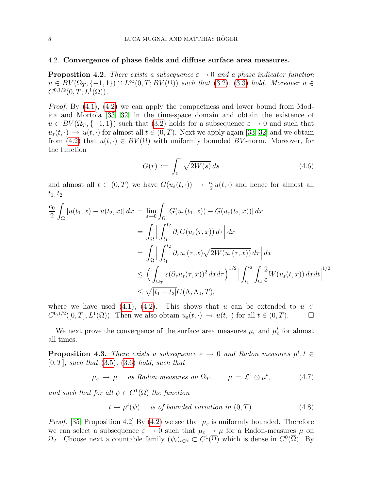#### <span id="page-9-0"></span>4.2. Convergence of phase fields and diffuse surface area measures.

**Proposition 4.2.** There exists a subsequence  $\varepsilon \to 0$  and a phase indicator function  $u \in BV(\Omega_T, \{-1, 1\}) \cap L^{\infty}(0,T; BV(\Omega))$  such that  $(3.2), (3.3)$  $(3.2), (3.3)$  $(3.2), (3.3)$  hold. Moreover  $u \in$  $C^{0,1/2}(0,T;L^1(\Omega)).$ 

*Proof.* By  $(4.1)$ ,  $(4.2)$  we can apply the compactness and lower bound from Modica and Mortola [\[33,](#page-24-7) [32\]](#page-24-8) in the time-space domain and obtain the existence of  $u \in BV(\Omega_T, \{-1, 1\})$  such that  $(3.2)$  holds for a subsequence  $\varepsilon \to 0$  and such that  $u_{\varepsilon}(t, \cdot) \to u(t, \cdot)$  for almost all  $t \in (0, T)$ . Next we apply again [\[33,](#page-24-7) [32\]](#page-24-8) and we obtain from [\(4.2\)](#page-8-1) that  $u(t, \cdot) \in BV(\Omega)$  with uniformly bounded BV-norm. Moreover, for the function

<span id="page-9-2"></span>
$$
G(r) := \int_0^r \sqrt{2W(s)} \, ds \tag{4.6}
$$

and almost all  $t \in (0,T)$  we have  $G(u_\varepsilon(t,\cdot)) \to \frac{c_0}{2}u(t,\cdot)$  and hence for almost all  $t_{1}, t_{2}$ 

$$
\frac{c_0}{2} \int_{\Omega} |u(t_1, x) - u(t_2, x)| dx = \lim_{\varepsilon \to 0} \int_{\Omega} |G(u_{\varepsilon}(t_1, x)) - G(u_{\varepsilon}(t_2, x))| dx
$$
  
\n
$$
= \int_{\Omega} \left| \int_{t_1}^{t_2} \partial_{\tau} G(u_{\varepsilon}(\tau, x)) d\tau \right| dx
$$
  
\n
$$
= \int_{\Omega} \left| \int_{t_1}^{t_2} \partial_{\tau} u_{\varepsilon}(\tau, x) \sqrt{2W(u_{\varepsilon}(\tau, x))} d\tau \right| dx
$$
  
\n
$$
\leq \left( \int_{\Omega_T} \varepsilon (\partial_{\tau} u_{\varepsilon}(\tau, x))^2 dx d\tau \right)^{1/2} \left| \int_{t_1}^{t_2} \int_{\Omega} \frac{2}{\varepsilon} W(u_{\varepsilon}(t, x)) dx dt \right|^{1/2}
$$
  
\n
$$
\leq \sqrt{|t_1 - t_2|} C(\Lambda, \Lambda_0, T),
$$

where we have used [\(4.1\)](#page-8-0), [\(4.2\)](#page-8-1). This shows that u can be extended to  $u \in$  $C^{0,1/2}([0,T], L^1(\Omega))$ . Then we also obtain  $u_{\varepsilon}(t, \cdot) \to u(t, \cdot)$  for all  $t \in (0,T)$ .

We next prove the convergence of the surface area measures  $\mu_{\varepsilon}$  and  $\mu_{\varepsilon}^{t}$  for almost all times.

**Proposition 4.3.** There exists a subsequence  $\varepsilon \to 0$  and Radon measures  $\mu^t, t \in$  $[0, T]$ , such that  $(3.5)$ ,  $(3.6)$  hold, such that

$$
\mu_{\varepsilon} \to \mu
$$
 as Radon measures on  $\Omega_T$ ,  $\mu = \mathcal{L}^1 \otimes \mu^t$ , (4.7)

and such that for all  $\psi \in C^1(\overline{\Omega})$  the function

<span id="page-9-1"></span>
$$
t \mapsto \mu^t(\psi) \quad \text{ is of bounded variation in } (0, T). \tag{4.8}
$$

*Proof.* [\[35,](#page-24-4) Proposition 4.2] By [\(4.2\)](#page-8-1) we see that  $\mu_{\varepsilon}$  is uniformly bounded. Therefore we can select a subsequence  $\varepsilon \to 0$  such that  $\mu_{\varepsilon} \to \mu$  for a Radon-measures  $\mu$  on  $\Omega_T$ . Choose next a countable family  $(\psi_i)_{i\in\mathbb{N}} \subset C^1(\overline{\Omega})$  which is dense in  $C^0(\overline{\Omega})$ . By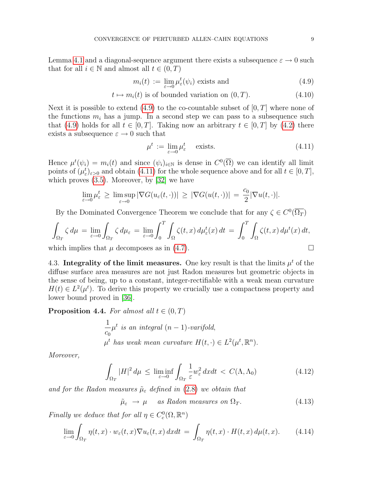Lemma [4.1](#page-8-5) and a diagonal-sequence argument there exists a subsequence  $\varepsilon \to 0$  such that for all  $i \in \mathbb{N}$  and almost all  $t \in (0, T)$ 

<span id="page-10-0"></span>
$$
m_i(t) := \lim_{\varepsilon \to 0} \mu_{\varepsilon}^t(\psi_i) \text{ exists and } (4.9)
$$

$$
t \mapsto m_i(t) \text{ is of bounded variation on } (0, T). \tag{4.10}
$$

Next it is possible to extend  $(4.9)$  to the co-countable subset of  $[0, T]$  where none of the functions  $m_i$  has a jump. In a second step we can pass to a subsequence such that [\(4.9\)](#page-10-0) holds for all  $t \in [0, T]$ . Taking now an arbitrary  $t \in [0, T]$  by [\(4.2\)](#page-8-1) there exists a subsequence  $\varepsilon \to 0$  such that

<span id="page-10-1"></span>
$$
\mu^t := \lim_{\varepsilon \to 0} \mu^t_{\varepsilon} \quad \text{exists.} \tag{4.11}
$$

Hence  $\mu^t(\psi_i) = m_i(t)$  and since  $(\psi_i)_{i \in \mathbb{N}}$  is dense in  $C^0(\overline{\Omega})$  we can identify all limit points of  $(\mu_{\varepsilon}^t)_{\varepsilon>0}$  and obtain [\(4.11\)](#page-10-1) for the whole sequence above and for all  $t \in [0, T]$ , which proves  $(3.5)$ . Moreover, by  $[32]$  we have

$$
\lim_{\varepsilon \to 0} \mu_{\varepsilon}^t \ge \limsup_{\varepsilon \to 0} |\nabla G(u_{\varepsilon}(t, \cdot))| \ge |\nabla G(u(t, \cdot))| = \frac{c_0}{2} |\nabla u(t, \cdot)|.
$$

By the Dominated Convergence Theorem we conclude that for any  $\zeta \in C^0(\overline{\Omega_T})$ 

$$
\int_{\Omega_T} \zeta \, d\mu = \lim_{\varepsilon \to 0} \int_{\Omega_T} \zeta \, d\mu_{\varepsilon} = \lim_{\varepsilon \to 0} \int_0^T \int_{\Omega} \zeta(t, x) \, d\mu_{\varepsilon}^t(x) \, dt = \int_0^T \int_{\Omega} \zeta(t, x) \, d\mu^t(x) \, dt,
$$

which implies that  $\mu$  decomposes as in [\(4.7\)](#page-9-1).

4.3. Integrality of the limit measures. One key result is that the limits  $\mu^t$  of the diffuse surface area measures are not just Radon measures but geometric objects in the sense of being, up to a constant, integer-rectifiable with a weak mean curvature  $H(t) \in L^2(\mu^t)$ . To derive this property we crucially use a compactness property and lower bound proved in [\[36\]](#page-24-3).

**Proposition 4.4.** For almost all  $t \in (0, T)$ 

$$
\frac{1}{c_0}\mu^t
$$
 is an integral  $(n-1)$ -varifold,  
 $\mu^t$  has weak mean curvature  $H(t, \cdot) \in L^2(\mu^t, \mathbb{R}^n)$ .

Moreover,

$$
\int_{\Omega_T} |H|^2 \, d\mu \le \liminf_{\varepsilon \to 0} \int_{\Omega_T} \frac{1}{\varepsilon} w_{\varepsilon}^2 \, dxdt < C(\Lambda, \Lambda_0) \tag{4.12}
$$

and for the Radon measures  $\tilde{\mu}_{\varepsilon}$  defined in [\(2.8\)](#page-6-6) we obtain that

<span id="page-10-4"></span><span id="page-10-3"></span><span id="page-10-2"></span>
$$
\tilde{\mu}_{\varepsilon} \to \mu \quad \text{as Radon measures on } \Omega_T. \tag{4.13}
$$

Finally we deduce that for all  $\eta \in C_c^0(\Omega, \mathbb{R}^n)$ 

$$
\lim_{\varepsilon \to 0} \int_{\Omega_T} \eta(t, x) \cdot w_{\varepsilon}(t, x) \nabla u_{\varepsilon}(t, x) \, dx dt = \int_{\Omega_T} \eta(t, x) \cdot H(t, x) \, d\mu(t, x). \tag{4.14}
$$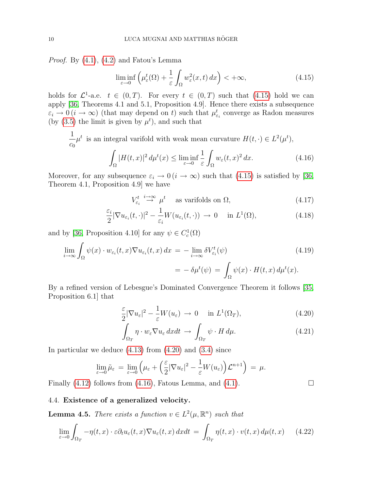Proof. By [\(4.1\)](#page-8-0), [\(4.2\)](#page-8-1) and Fatou's Lemma

<span id="page-11-0"></span>
$$
\liminf_{\varepsilon \to 0} \left( \mu_{\varepsilon}^t(\Omega) + \frac{1}{\varepsilon} \int_{\Omega} w_{\varepsilon}^2(x, t) \, dx \right) < +\infty,\tag{4.15}
$$

holds for  $\mathcal{L}^1$ -a.e.  $t \in (0,T)$ . For every  $t \in (0,T)$  such that  $(4.15)$  hold we can apply [\[36,](#page-24-3) Theorems 4.1 and 5.1, Proposition 4.9]. Hence there exists a subsequence  $\varepsilon_i \to 0$  ( $i \to \infty$ ) (that may depend on t) such that  $\mu_{\varepsilon_i}^t$  converge as Radon measures (by  $(3.5)$  the limit is given by  $\mu^t$ ), and such that

$$
\frac{1}{c_0}\mu^t \text{ is an integral variable with weak mean curvature } H(t, \cdot) \in L^2(\mu^t),
$$

$$
\int_{\Omega} |H(t, x)|^2 d\mu^t(x) \le \liminf_{\varepsilon \to 0} \frac{1}{\varepsilon} \int_{\Omega} w_{\varepsilon}(t, x)^2 dx. \tag{4.16}
$$

Moreover, for any subsequence  $\varepsilon_i \to 0$  ( $i \to \infty$ ) such that [\(4.15\)](#page-11-0) is satisfied by [\[36,](#page-24-3) Theorem 4.1, Proposition 4.9] we have

<span id="page-11-2"></span>
$$
V_{\varepsilon_i}^t \stackrel{i \to \infty}{\to} \mu^t \quad \text{as variables on } \Omega,\tag{4.17}
$$

$$
\frac{\varepsilon_i}{2} |\nabla u_{\varepsilon_i}(t, \cdot)|^2 - \frac{1}{\varepsilon_i} W(u_{\varepsilon_i}(t, \cdot)) \to 0 \quad \text{in } L^1(\Omega), \tag{4.18}
$$

and by [\[36,](#page-24-3) Proposition 4.10] for any  $\psi \in C_c^1(\Omega)$ 

$$
\lim_{i \to \infty} \int_{\Omega} \psi(x) \cdot w_{\varepsilon_i}(t, x) \nabla u_{\varepsilon_i}(t, x) dx = - \lim_{i \to \infty} \delta V_{\varepsilon_i}^t(\psi)
$$
\n
$$
= - \delta \mu^t(\psi) = \int_{\Omega} \psi(x) \cdot H(t, x) d\mu^t(x).
$$
\n(4.19)

By a refined version of Lebesgue's Dominated Convergence Theorem it follows [\[35,](#page-24-4) Proposition 6.1] that

$$
\frac{\varepsilon}{2} |\nabla u_{\varepsilon}|^2 - \frac{1}{\varepsilon} W(u_{\varepsilon}) \to 0 \quad \text{in } L^1(\Omega_T), \tag{4.20}
$$

$$
\int_{\Omega_T} \eta \cdot w_{\varepsilon} \nabla u_{\varepsilon} dxdt \to \int_{\Omega_T} \psi \cdot H d\mu. \tag{4.21}
$$

In particular we deduce  $(4.13)$  from  $(4.20)$  and  $(3.4)$  since

$$
\lim_{\varepsilon \to 0} \tilde{\mu}_{\varepsilon} = \lim_{\varepsilon \to 0} \left( \mu_{\varepsilon} + \left( \frac{\varepsilon}{2} |\nabla u_{\varepsilon}|^2 - \frac{1}{\varepsilon} W(u_{\varepsilon}) \right) \mathcal{L}^{n+1} \right) = \mu.
$$

Finally  $(4.12)$  follows from  $(4.16)$ , Fatous Lemma, and  $(4.1)$ .

<span id="page-11-3"></span><span id="page-11-1"></span>

#### 4.4. Existence of a generalized velocity.

**Lemma 4.5.** There exists a function  $v \in L^2(\mu, \mathbb{R}^n)$  such that

$$
\lim_{\varepsilon \to 0} \int_{\Omega_T} -\eta(t, x) \cdot \varepsilon \partial_t u_{\varepsilon}(t, x) \nabla u_{\varepsilon}(t, x) \, dx dt = \int_{\Omega_T} \eta(t, x) \cdot v(t, x) \, d\mu(t, x) \qquad (4.22)
$$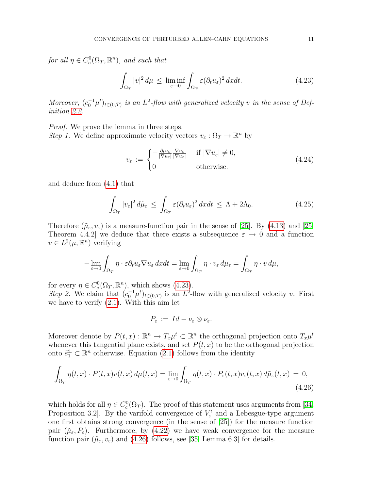for all  $\eta \in C_c^0(\Omega_T, \mathbb{R}^n)$ , and such that

<span id="page-12-0"></span>
$$
\int_{\Omega_T} |v|^2 \, d\mu \le \liminf_{\varepsilon \to 0} \int_{\Omega_T} \varepsilon (\partial_t u_\varepsilon)^2 \, dx dt. \tag{4.23}
$$

Moreover,  $(c_0^{-1}\mu^t)_{t\in(0,T)}$  is an  $L^2$ -flow with generalized velocity v in the sense of Definition [2.2.](#page-5-2)

Proof. We prove the lemma in three steps. *Step 1.* We define approximate velocity vectors  $v_{\varepsilon}: \Omega_T \to \mathbb{R}^n$  by

$$
v_{\varepsilon} := \begin{cases} -\frac{\partial_t u_{\varepsilon}}{|\nabla u_{\varepsilon}|} \frac{\nabla u_{\varepsilon}}{|\nabla u_{\varepsilon}|} & \text{if } |\nabla u_{\varepsilon}| \neq 0, \\ 0 & \text{otherwise.} \end{cases}
$$
(4.24)

and deduce from [\(4.1\)](#page-8-0) that

$$
\int_{\Omega_T} |v_{\varepsilon}|^2 d\tilde{\mu}_{\varepsilon} \le \int_{\Omega_T} \varepsilon (\partial_t u_{\varepsilon})^2 dx dt \le \Lambda + 2\Lambda_0. \tag{4.25}
$$

Therefore  $(\tilde{\mu}_{\varepsilon}, v_{\varepsilon})$  is a measure-function pair in the sense of [\[25\]](#page-23-16). By [\(4.13\)](#page-10-2) and [\[25,](#page-23-16) Theorem 4.4.2] we deduce that there exists a subsequence  $\varepsilon \to 0$  and a function  $v \in L^2(\mu, \mathbb{R}^n)$  verifying

$$
-\lim_{\varepsilon \to 0} \int_{\Omega_T} \eta \cdot \varepsilon \partial_t u_\varepsilon \nabla u_\varepsilon \, dx dt = \lim_{\varepsilon \to 0} \int_{\Omega_T} \eta \cdot v_\varepsilon \, d\tilde{\mu}_\varepsilon = \int_{\Omega_T} \eta \cdot v \, d\mu,
$$

for every  $\eta \in C_c^0(\Omega_T, \mathbb{R}^n)$ , which shows [\(4.23\)](#page-12-0). Step 2. We claim that  $(c_0^{-1}\mu^t)_{t\in(0,T)}$  is an  $L^2$ -flow with generalized velocity v. First we have to verify [\(2.1\)](#page-5-0). With this aim let

<span id="page-12-1"></span>
$$
P_{\varepsilon} := Id - \nu_{\varepsilon} \otimes \nu_{\varepsilon}.
$$

Moreover denote by  $P(t, x): \mathbb{R}^n \to T_x \mu^t \subset \mathbb{R}^n$  the orthogonal projection onto  $T_x \mu^t$ whenever this tangential plane exists, and set  $P(t, x)$  to be the orthogonal projection onto  $\vec{e}_1^{\perp} \subset \mathbb{R}^n$  otherwise. Equation [\(2.1\)](#page-5-0) follows from the identity

$$
\int_{\Omega_T} \eta(t,x) \cdot P(t,x) v(t,x) \, d\mu(t,x) = \lim_{\varepsilon \to 0} \int_{\Omega_T} \eta(t,x) \cdot P_{\varepsilon}(t,x) v_{\varepsilon}(t,x) \, d\tilde{\mu}_{\varepsilon}(t,x) = 0,
$$
\n(4.26)

which holds for all  $\eta \in C_c^0(\Omega_T)$ . The proof of this statement uses arguments from [\[34,](#page-24-9) Proposition 3.2. By the varifold convergence of  $V_{\varepsilon}^{t}$  and a Lebesgue-type argument one first obtains strong convergence (in the sense of [\[25\]](#page-23-16)) for the measure function pair  $(\tilde{\mu}_{\varepsilon}, P_{\varepsilon})$ . Furthermore, by [\(4.22\)](#page-11-3) we have weak convergence for the measure function pair  $(\tilde{\mu}_{\varepsilon}, v_{\varepsilon})$  and [\(4.26\)](#page-12-1) follows, see [\[35,](#page-24-4) Lemma 6.3] for details.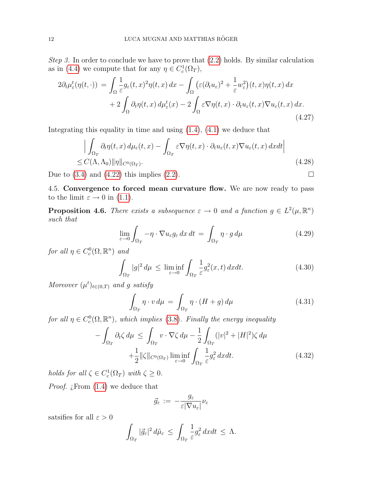Step 3. In order to conclude we have to prove that  $(2.2)$  holds. By similar calculation as in [\(4.4\)](#page-8-2) we compute that for any  $\eta \in C_c^1(\Omega_T)$ ,

$$
2\partial_t \mu_{\varepsilon}^t(\eta(t,\cdot)) = \int_{\Omega} \frac{1}{\varepsilon} g_{\varepsilon}(t,x)^2 \eta(t,x) dx - \int_{\Omega} \left( \varepsilon (\partial_t u_{\varepsilon})^2 + \frac{1}{\varepsilon} w_{\varepsilon}^2 \right) (t,x) \eta(t,x) dx + 2 \int_{\Omega} \partial_t \eta(t,x) d\mu_{\varepsilon}^t(x) - 2 \int_{\Omega} \varepsilon \nabla \eta(t,x) \cdot \partial_t u_{\varepsilon}(t,x) \nabla u_{\varepsilon}(t,x) dx.
$$
\n(4.27)

Integrating this equality in time and using  $(1.4)$ ,  $(4.1)$  we deduce that

$$
\left| \int_{\Omega_T} \partial_t \eta(t, x) \, d\mu_{\varepsilon}(t, x) - \int_{\Omega_T} \varepsilon \nabla \eta(t, x) \cdot \partial_t u_{\varepsilon}(t, x) \nabla u_{\varepsilon}(t, x) \, dxdt \right|
$$
\n
$$
\leq C(\Lambda, \Lambda_0) \|\eta\|_{C^0(\Omega_T)}.
$$
\n(4.28)

Due to  $(3.4)$  and  $(4.22)$  this implies  $(2.2)$ .

4.5. Convergence to forced mean curvature flow. We are now ready to pass to the limit  $\varepsilon \to 0$  in [\(1.1\)](#page-2-0).

<span id="page-13-5"></span>**Proposition 4.6.** There exists a subsequence  $\varepsilon \to 0$  and a function  $g \in L^2(\mu, \mathbb{R}^n)$ such that

<span id="page-13-4"></span><span id="page-13-1"></span>
$$
\lim_{\varepsilon \to 0} \int_{\Omega_T} -\eta \cdot \nabla u_{\varepsilon} g_{\varepsilon} \, dx \, dt = \int_{\Omega_T} \eta \cdot g \, d\mu \tag{4.29}
$$

for all  $\eta \in C_c^0(\Omega, \mathbb{R}^n)$  and

$$
\int_{\Omega_T} |g|^2 \, d\mu \le \liminf_{\varepsilon \to 0} \int_{\Omega_T} \frac{1}{\varepsilon} g_{\varepsilon}^2(x, t) \, dx dt. \tag{4.30}
$$

Moreover  $(\mu^t)_{t \in (0,T)}$  and g satisfy

<span id="page-13-2"></span><span id="page-13-0"></span>
$$
\int_{\Omega_T} \eta \cdot v \, d\mu = \int_{\Omega_T} \eta \cdot (H + g) \, d\mu \tag{4.31}
$$

for all  $\eta \in C_c^0(\Omega, \mathbb{R}^n)$ , which implies [\(3.8\)](#page-7-0). Finally the energy inequality

$$
-\int_{\Omega_T} \partial_t \zeta \, d\mu \le \int_{\Omega_T} v \cdot \nabla \zeta \, d\mu - \frac{1}{2} \int_{\Omega_T} (|v|^2 + |H|^2) \zeta \, d\mu
$$
  
 
$$
+\frac{1}{2} \|\zeta\|_{C^0(\Omega_T)} \liminf_{\varepsilon \to 0} \int_{\Omega_T} \frac{1}{\varepsilon} g_{\varepsilon}^2 \, dxdt. \tag{4.32}
$$

holds for all  $\zeta \in C_c^1(\Omega_T)$  with  $\zeta \geq 0$ .

*Proof. i*. From  $(1.4)$  we deduce that

<span id="page-13-3"></span>
$$
\vec{g}_{\varepsilon} \, := \, - \frac{g_{\varepsilon}}{\varepsilon |\nabla u_{\varepsilon}|} \nu_{\varepsilon}
$$

satsifies for all  $\varepsilon > 0$ 

$$
\int_{\Omega_T} |\vec{g}_{\varepsilon}|^2 d\tilde{\mu}_{\varepsilon} \leq \int_{\Omega_T} \frac{1}{\varepsilon} g_{\varepsilon}^2 dx dt \leq \Lambda.
$$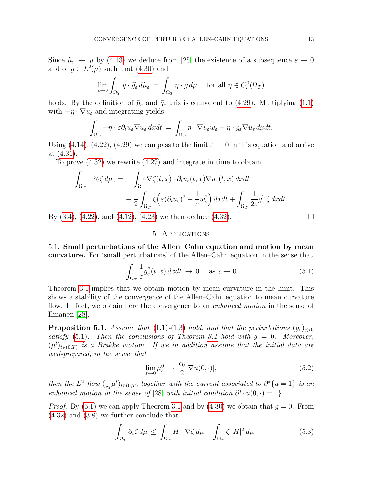Since  $\tilde{\mu}_{\varepsilon} \to \mu$  by [\(4.13\)](#page-10-2) we deduce from [\[25\]](#page-23-16) the existence of a subsequence  $\varepsilon \to 0$ and of  $g \in L^2(\mu)$  such that  $(4.30)$  and

$$
\lim_{\varepsilon \to 0} \int_{\Omega_T} \eta \cdot \vec{g}_{\varepsilon} \, d\tilde{\mu}_{\varepsilon} = \int_{\Omega_T} \eta \cdot g \, d\mu \quad \text{for all } \eta \in C_c^0(\Omega_T)
$$

holds. By the definition of  $\tilde{\mu}_{\varepsilon}$  and  $\vec{g}_{\varepsilon}$  this is equivalent to [\(4.29\)](#page-13-1). Multiplying [\(1.1\)](#page-2-0) with  $-\eta \cdot \nabla u_{\varepsilon}$  and integrating yields

$$
\int_{\Omega_T} -\eta \cdot \varepsilon \partial_t u_\varepsilon \nabla u_\varepsilon dxdt = \int_{\Omega_T} \eta \cdot \nabla u_\varepsilon w_\varepsilon - \eta \cdot g_\varepsilon \nabla u_\varepsilon dxdt.
$$

Using [\(4.14\)](#page-10-4), [\(4.22\)](#page-11-3), [\(4.29\)](#page-13-1) we can pass to the limit  $\varepsilon \to 0$  in this equation and arrive at [\(4.31\)](#page-13-2).

To prove [\(4.32\)](#page-13-3) we rewrite [\(4.27\)](#page-13-4) and integrate in time to obtain

$$
\int_{\Omega_T} -\partial_t \zeta \, d\mu_{\varepsilon} = -\int_{\Omega} \varepsilon \nabla \zeta(t, x) \cdot \partial_t u_{\varepsilon}(t, x) \nabla u_{\varepsilon}(t, x) \, dxdt \n- \frac{1}{2} \int_{\Omega_T} \zeta \Big( \varepsilon (\partial_t u_{\varepsilon})^2 + \frac{1}{\varepsilon} w_{\varepsilon}^2 \Big) \, dxdt + \int_{\Omega_T} \frac{1}{2\varepsilon} g_{\varepsilon}^2 \zeta \, dxdt.
$$

By  $(3.4)$ ,  $(4.22)$ , and  $(4.12)$ ,  $(4.23)$  we then deduce  $(4.32)$ .

<span id="page-14-2"></span><span id="page-14-0"></span>
$$
\overline{a}
$$

#### 5. Applications

5.1. Small perturbations of the Allen–Cahn equation and motion by mean curvature. For 'small perturbations' of the Allen–Cahn equation in the sense that

$$
\int_{\Omega_T} \frac{1}{\varepsilon} g_{\varepsilon}^2(t, x) \, dxdt \to 0 \quad \text{as } \varepsilon \to 0 \tag{5.1}
$$

Theorem [3.1](#page-6-4) implies that we obtain motion by mean curvature in the limit. This shows a stability of the convergence of the Allen–Cahn equation to mean curvature flow. In fact, we obtain here the convergence to an *enhanced motion* in the sense of Ilmanen [\[28\]](#page-23-17).

**Proposition 5.1.** Assume that [\(1.1\)](#page-2-0)-[\(1.3\)](#page-2-3) hold, and that the perturbations  $(g_{\varepsilon})_{\varepsilon>0}$ satisfy  $(5.1)$ . Then the conclusions of Theorem [3.1](#page-6-4) hold with  $g = 0$ . Moreover,  $(\mu^t)_{t \in (0,T)}$  is a Brakke motion. If we in addition assume that the initial data are well-prepared, in the sense that

<span id="page-14-1"></span>
$$
\lim_{\varepsilon \to 0} \mu_{\varepsilon}^0 \to \frac{c_0}{2} |\nabla u(0, \cdot)|, \tag{5.2}
$$

then the  $L^2$ -flow  $(\frac{1}{c}$  $\frac{1}{c_0}\mu^t)_{t\in(0,T)}$  together with the current associated to  $\partial^*\{u=1\}$  is an enhanced motion in the sense of [\[28\]](#page-23-17) with initial condition  $\partial^*{u(0, \cdot) = 1}$ .

*Proof.* By [\(5.1\)](#page-14-0) we can apply Theorem [3.1](#page-6-4) and by [\(4.30\)](#page-13-0) we obtain that  $q = 0$ . From [\(4.32\)](#page-13-3) and [\(3.8\)](#page-7-0) we further conclude that

$$
-\int_{\Omega_T} \partial_t \zeta \, d\mu \le \int_{\Omega_T} H \cdot \nabla \zeta \, d\mu - \int_{\Omega_T} \zeta \, |H|^2 \, d\mu \tag{5.3}
$$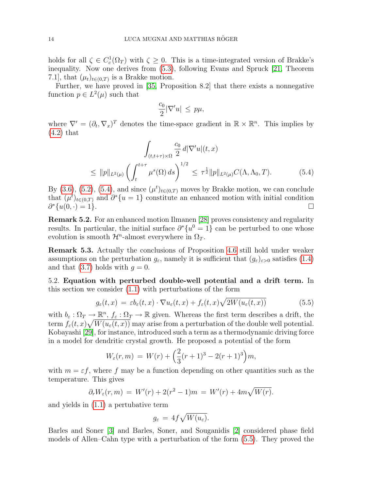holds for all  $\zeta \in C_c^1(\Omega_T)$  with  $\zeta \geq 0$ . This is a time-integrated version of Brakke's inequality. Now one derives from [\(5.3\)](#page-14-1), following Evans and Spruck [\[21,](#page-23-18) Theorem 7.1], that  $(\mu_t)_{t \in (0,T)}$  is a Brakke motion.

Further, we have proved in [\[35,](#page-24-4) Proposition 8.2] that there exists a nonnegative function  $p \in L^2(\mu)$  such that

<span id="page-15-0"></span>
$$
\frac{c_0}{2}|\nabla'u| \leq p\mu,
$$

where  $\nabla' = (\partial_t, \nabla_x)^T$  denotes the time-space gradient in  $\mathbb{R} \times \mathbb{R}^n$ . This implies by [\(4.2\)](#page-8-1) that

$$
\int_{(t,t+\tau)\times\Omega} \frac{c_0}{2} d|\nabla'u|(t,x)
$$
\n
$$
\leq ||p||_{L^2(\mu)} \left(\int_t^{t+\tau} \mu^s(\Omega) ds\right)^{1/2} \leq \tau^{\frac{1}{2}} ||p||_{L^2(\mu)} C(\Lambda, \Lambda_0, T). \tag{5.4}
$$

By [\(3.6\)](#page-7-2), [\(5.2\)](#page-14-2), [\(5.4\)](#page-15-0), and since  $(\mu^t)_{t\in(0,T)}$  moves by Brakke motion, we can conclude that  $(\mu^t)_{t\in(0,T)}$  and  $\partial^*\{u=1\}$  constitute an enhanced motion with initial condition  $\partial^*\{u(0, \cdot) = 1\}.$ 

Remark 5.2. For an enhanced motion Ilmanen [\[28\]](#page-23-17) proves consistency and regularity results. In particular, the initial surface  $\partial^* \{u^0 = 1\}$  can be perturbed to one whose evolution is smooth  $\mathcal{H}^n$ -almost everywhere in  $\Omega_T$ .

Remark 5.3. Actually the conclusions of Proposition [4.6](#page-13-5) still hold under weaker assumptions on the perturbation  $g_{\varepsilon}$ , namely it is sufficient that  $(g_{\varepsilon})_{\varepsilon>0}$  satisfies [\(1.4\)](#page-2-2) and that [\(3.7\)](#page-7-4) holds with  $q = 0$ .

5.2. Equation with perturbed double-well potential and a drift term. In this section we consider [\(1.1\)](#page-2-0) with perturbations of the form

$$
g_{\varepsilon}(t,x) = \varepsilon b_{\varepsilon}(t,x) \cdot \nabla u_{\varepsilon}(t,x) + f_{\varepsilon}(t,x) \sqrt{2W(u_{\varepsilon}(t,x))}
$$
(5.5)

with  $b_{\varepsilon}: \Omega_T \to \mathbb{R}^n$ ,  $f_{\varepsilon}: \Omega_T \to \mathbb{R}$  given. Whereas the first term describes a drift, the term  $f_{\varepsilon}(t,x)\sqrt{W(u_{\varepsilon}(t,x))}$  may arise from a perturbation of the double well potential. Kobayashi [\[29\]](#page-23-19), for instance, introduced such a term as a thermodynamic driving force in a model for dendritic crystal growth. He proposed a potential of the form

$$
W_{\varepsilon}(r,m) = W(r) + \left(\frac{2}{3}(r+1)^3 - 2(r+1)^3\right)m,
$$

with  $m = \varepsilon f$ , where f may be a function depending on other quantities such as the temperature. This gives

$$
\partial_r W_{\varepsilon}(r,m) = W'(r) + 2(r^2 - 1)m = W'(r) + 4m\sqrt{W(r)}.
$$

and yields in [\(1.1\)](#page-2-0) a pertubative term

<span id="page-15-1"></span>
$$
g_{\varepsilon} = 4f\sqrt{W(u_{\varepsilon})}.
$$

Barles and Soner [\[3\]](#page-22-5) and Barles, Soner, and Souganidis [\[2\]](#page-22-2) considered phase field models of Allen–Cahn type with a perturbation of the form [\(5.5\)](#page-15-1). They proved the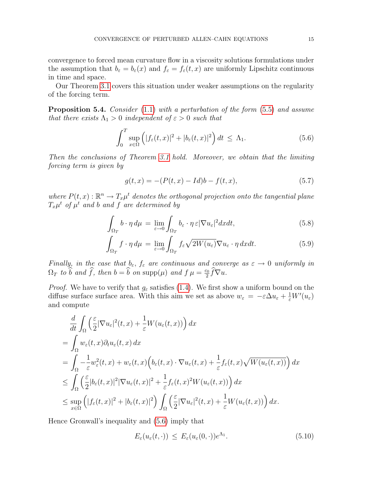convergence to forced mean curvature flow in a viscosity solutions formulations under the assumption that  $b_{\varepsilon} = b_{\varepsilon}(x)$  and  $f_{\varepsilon} = f_{\varepsilon}(t, x)$  are uniformly Lipschitz continuous in time and space.

Our Theorem [3.1](#page-6-4) covers this situation under weaker assumptions on the regularity of the forcing term.

Proposition 5.4. Consider [\(1.1\)](#page-2-0) with a perturbation of the form [\(5.5\)](#page-15-1) and assume that there exists  $\Lambda_1 > 0$  independent of  $\varepsilon > 0$  such that

$$
\int_0^T \sup_{x \in \Omega} \left( |f_{\varepsilon}(t,x)|^2 + |b_{\varepsilon}(t,x)|^2 \right) dt \le \Lambda_1.
$$
 (5.6)

Then the conclusions of Theorem [3.1](#page-6-4) hold. Moreover, we obtain that the limiting forcing term is given by

<span id="page-16-3"></span><span id="page-16-2"></span><span id="page-16-1"></span><span id="page-16-0"></span>
$$
g(t,x) = -(P(t,x) - Id)b - f(t,x),
$$
\n(5.7)

where  $P(t, x): \mathbb{R}^n \to T_x \mu^t$  denotes the orthogonal projection onto the tangential plane  $T_x\mu^t$  of  $\mu^t$  and b and f are determined by

$$
\int_{\Omega_T} b \cdot \eta \, d\mu = \lim_{\varepsilon \to 0} \int_{\Omega_T} b_{\varepsilon} \cdot \eta \, \varepsilon |\nabla u_{\varepsilon}|^2 dxdt, \tag{5.8}
$$

$$
\int_{\Omega_T} f \cdot \eta \, d\mu = \lim_{\varepsilon \to 0} \int_{\Omega_T} f_{\varepsilon} \sqrt{2W(u_{\varepsilon})} \nabla u_{\varepsilon} \cdot \eta \, dxdt. \tag{5.9}
$$

Finally, in the case that  $b_{\varepsilon}$ ,  $f_{\varepsilon}$  are continuous and converge as  $\varepsilon \to 0$  uniformly in  $\Omega_T$  to  $\widehat{b}$  and  $\widehat{f}$ , then  $b = \widehat{b}$  on  $\text{supp}(\mu)$  and  $f \mu = \frac{c_0}{2}$  $\frac{c_0}{2}f\nabla u.$ 

*Proof.* We have to verify that  $g_{\varepsilon}$  satisfies [\(1.4\)](#page-2-2). We first show a uniform bound on the diffuse surface surface area. With this aim we set as above  $w_{\varepsilon} = -\varepsilon \Delta u_{\varepsilon} + \frac{1}{\varepsilon} W'(u_{\varepsilon})$ and compute

$$
\frac{d}{dt} \int_{\Omega} \left( \frac{\varepsilon}{2} |\nabla u_{\varepsilon}|^{2}(t, x) + \frac{1}{\varepsilon} W(u_{\varepsilon}(t, x)) \right) dx
$$
\n  
\n
$$
= \int_{\Omega} w_{\varepsilon}(t, x) \partial_{t} u_{\varepsilon}(t, x) dx
$$
\n  
\n
$$
= \int_{\Omega} -\frac{1}{\varepsilon} w_{\varepsilon}^{2}(t, x) + w_{\varepsilon}(t, x) \left( b_{\varepsilon}(t, x) \cdot \nabla u_{\varepsilon}(t, x) + \frac{1}{\varepsilon} f_{\varepsilon}(t, x) \sqrt{W(u_{\varepsilon}(t, x))} \right) dx
$$
\n  
\n
$$
\leq \int_{\Omega} \left( \frac{\varepsilon}{2} |b_{\varepsilon}(t, x)|^{2} |\nabla u_{\varepsilon}(t, x)|^{2} + \frac{1}{\varepsilon} f_{\varepsilon}(t, x)^{2} W(u_{\varepsilon}(t, x)) \right) dx
$$
\n  
\n
$$
\leq \sup_{x \in \Omega} \left( |f_{\varepsilon}(t, x)|^{2} + |b_{\varepsilon}(t, x)|^{2} \right) \int_{\Omega} \left( \frac{\varepsilon}{2} |\nabla u_{\varepsilon}|^{2}(t, x) + \frac{1}{\varepsilon} W(u_{\varepsilon}(t, x)) \right) dx.
$$

Hence Gronwall's inequality and [\(5.6\)](#page-16-0) imply that

$$
E_{\varepsilon}(u_{\varepsilon}(t,\cdot)) \le E_{\varepsilon}(u_{\varepsilon}(0,\cdot))e^{\Lambda_1}.
$$
\n(5.10)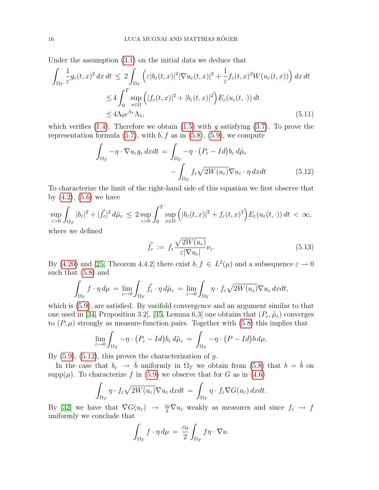Under the assumption [\(3.1\)](#page-6-5) on the initial data we deduce that

$$
\int_{\Omega_T} \frac{1}{\varepsilon} g_{\varepsilon}(t,x)^2 dx dt \le 2 \int_{\Omega_T} \left( \varepsilon |b_{\varepsilon}(t,x)|^2 |\nabla u_{\varepsilon}(t,x)|^2 + \frac{1}{\varepsilon} f_{\varepsilon}(t,x)^2 W(u_{\varepsilon}(t,x)) \right) dx dt
$$
  
\n
$$
\le 4 \int_0^T \sup_{x \in \Omega} \left( |f_{\varepsilon}(t,x)|^2 + |b_{\varepsilon}(t,x)|^2 \right) E_{\varepsilon}(u_{\varepsilon}(t,\cdot)) dt
$$
  
\n
$$
\le 4 \Lambda_0 e^{\Lambda_1} \Lambda_1,
$$
\n(5.11)

which verifies [\(1.4\)](#page-2-2). Therefore we obtain [\(1.5\)](#page-2-1) with g satisfying [\(3.7\)](#page-7-4). To prove the representation formula  $(5.7)$ , with  $b, f$  as in  $(5.8)$ ,  $(5.9)$ , we compute

$$
\int_{\Omega_T} -\eta \cdot \nabla u_{\varepsilon} g_{\varepsilon} dxdt = \int_{\Omega_T} -\eta \cdot (P_{\varepsilon} - Id) b_{\varepsilon} d\tilde{\mu}_{\varepsilon} \n- \int_{\Omega_T} f_{\varepsilon} \sqrt{2W(u_{\varepsilon})} \nabla u_{\varepsilon} \cdot \eta \, dxdt
$$
\n(5.12)

To characterize the limit of the right-hand side of this equation we first observe that by  $(4.2)$ ,  $(5.6)$  we have

$$
\sup_{\varepsilon>0}\int_{\Omega_T}|b_{\varepsilon}|^2+|\vec{f_{\varepsilon}}|^2\,d\tilde{\mu}_{\varepsilon}\,\leq\,2\sup_{\varepsilon>0}\int_0^T\sup_{x\in\Omega}\Big(|b_{\varepsilon}(t,x)|^2+f_{\varepsilon}(t,x)^2\Big)E_{\varepsilon}(u_{\varepsilon}(t,\cdot))\,dt\,<\,\infty,
$$

where we defined

<span id="page-17-0"></span>
$$
\vec{f}_{\varepsilon} := f_{\varepsilon} \frac{\sqrt{2W(u_{\varepsilon})}}{\varepsilon |\nabla u_{\varepsilon}|} \nu_{\varepsilon}.
$$
\n(5.13)

By [\(4.20\)](#page-11-1) and [\[25,](#page-23-16) Theorem 4.4.2] there exist  $b, f \in L^2(\mu)$  and a subsequence  $\varepsilon \to 0$ such that [\(5.8\)](#page-16-2) and

$$
\int_{\Omega_T} f \cdot \eta \, d\mu = \lim_{\varepsilon \to 0} \int_{\Omega_T} \vec{f}_{\varepsilon} \cdot \eta \, d\tilde{\mu}_{\varepsilon} = \lim_{\varepsilon \to 0} \int_{\Omega_T} \eta \cdot f_{\varepsilon} \sqrt{2W(u_{\varepsilon})} \nabla u_{\varepsilon} \, dxdt,
$$

which is [\(5.9\)](#page-16-3), are satisfied. By varifold convergence and an argument similar to that one used in [\[34,](#page-24-9) Proposition 3.2], [\[35,](#page-24-4) Lemma 6.3] one obtains that  $(P_{\varepsilon}, \tilde{\mu}_{\varepsilon})$  converges to  $(P, \mu)$  strongly as measure-function pairs. Together with [\(5.8\)](#page-16-2) this implies that

$$
\lim_{\varepsilon \to 0} \int_{\Omega_T} -\eta \cdot (P_{\varepsilon} - Id) b_{\varepsilon} d\tilde{\mu}_{\varepsilon} = \int_{\Omega_T} -\eta \cdot (P - Id) b d\mu.
$$

By  $(5.9)$ ,  $(5.12)$ , this proves the characterization of g.

In the case that  $b_{\varepsilon} \to \hat{b}$  uniformly in  $\Omega_T$  we obtain from [\(5.8\)](#page-16-2) that  $b = \hat{b}$  on  $\text{supp}(\mu)$ . To characterize f in [\(5.9\)](#page-16-3) we observe that for G as in [\(4.6\)](#page-9-2)

$$
\int_{\Omega_T} \eta \cdot f_{\varepsilon} \sqrt{2W(u_{\varepsilon})} \nabla u_{\varepsilon} dxdt = \int_{\Omega_T} \eta \cdot f_{\varepsilon} \nabla G(u_{\varepsilon}) dxdt.
$$

By [\[32\]](#page-24-8) we have that  $\nabla G(u_\varepsilon) \to \frac{c_0}{2} \nabla u_\varepsilon$  weakly as measures and since  $f_\varepsilon \to f$ uniformly we conclude that

$$
\int_{\Omega_T} f \cdot \eta \, d\mu = \frac{c_0}{2} \int_{\Omega_T} f \eta \cdot \nabla u.
$$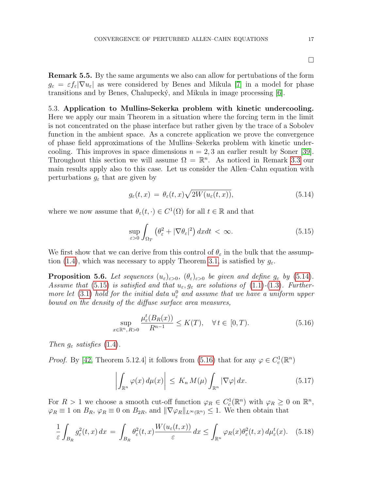Remark 5.5. By the same arguments we also can allow for pertubations of the form  $g_{\varepsilon} = \varepsilon f_{\varepsilon} |\nabla u_{\varepsilon}|$  as were considered by Benes and Mikula [\[7\]](#page-22-0) in a model for phase transitions and by Benes, Chalupecký, and Mikula in image processing  $[6]$ .

5.3. Application to Mullins-Sekerka problem with kinetic undercooling. Here we apply our main Theorem in a situation where the forcing term in the limit is not concentrated on the phase interface but rather given by the trace of a Sobolev function in the ambient space. As a concrete application we prove the convergence of phase field approximations of the Mullins–Sekerka problem with kinetic undercooling. This improves in space dimensions  $n = 2, 3$  an earlier result by Soner [\[39\]](#page-24-1). Throughout this section we will assume  $\Omega = \mathbb{R}^n$ . As noticed in Remark [3.3](#page-7-5) our main results apply also to this case. Let us consider the Allen–Cahn equation with perturbations  $g_{\varepsilon}$  that are given by

$$
g_{\varepsilon}(t,x) = \theta_{\varepsilon}(t,x)\sqrt{2W(u_{\varepsilon}(t,x))},\tag{5.14}
$$

where we now assume that  $\theta_{\varepsilon}(t, \cdot) \in C^1(\Omega)$  for all  $t \in \mathbb{R}$  and that

<span id="page-18-1"></span>
$$
\sup_{\varepsilon>0} \int_{\Omega_T} \left(\theta_\varepsilon^2 + |\nabla \theta_\varepsilon|^2\right) dx dt < \infty.
$$
 (5.15)

We first show that we can derive from this control of  $\theta_{\varepsilon}$  in the bulk that the assump-tion [\(1.4\)](#page-2-2), which was necessary to apply Theorem [3.1,](#page-6-4) is satisfied by  $g_{\varepsilon}$ .

<span id="page-18-5"></span>**Proposition 5.6.** Let sequences  $(u_{\varepsilon})_{\varepsilon>0}$ ,  $(\theta_{\varepsilon})_{\varepsilon>0}$  be given and define  $g_{\varepsilon}$  by [\(5.14\)](#page-18-0). Assume that [\(5.15\)](#page-18-1) is satisfied and that  $u_{\varepsilon}, g_{\varepsilon}$  are solutions of [\(1.1\)](#page-2-0)-[\(1.3\)](#page-2-3). Further-more let [\(3.1\)](#page-6-5) hold for the initial data  $u_{\varepsilon}^{0}$  and assume that we have a uniform upper bound on the density of the diffuse surface area measures,

<span id="page-18-2"></span>
$$
\sup_{\in \mathbb{R}^n, R>0} \frac{\mu_{\varepsilon}^t(B_R(x))}{R^{n-1}} \le K(T), \quad \forall \, t \in [0, T). \tag{5.16}
$$

Then  $g_{\varepsilon}$  satisfies [\(1.4\)](#page-2-2).

 $\boldsymbol{x}$ 

*Proof.* By [\[42,](#page-24-10) Theorem 5.12.4] it follows from [\(5.16\)](#page-18-2) that for any  $\varphi \in C_c^1(\mathbb{R}^n)$ 

<span id="page-18-4"></span><span id="page-18-3"></span>
$$
\left| \int_{\mathbb{R}^n} \varphi(x) \, d\mu(x) \right| \le K_n \, M(\mu) \int_{\mathbb{R}^n} |\nabla \varphi| \, dx. \tag{5.17}
$$

For  $R > 1$  we choose a smooth cut-off function  $\varphi_R \in C_c^1(\mathbb{R}^n)$  with  $\varphi_R \geq 0$  on  $\mathbb{R}^n$ ,  $\varphi_R \equiv 1$  on  $B_R$ ,  $\varphi_R \equiv 0$  on  $B_{2R}$ , and  $\|\nabla \varphi_R\|_{L^\infty(\mathbb{R}^n)} \leq 1$ . We then obtain that

$$
\frac{1}{\varepsilon} \int_{B_R} g_\varepsilon^2(t, x) \, dx = \int_{B_R} \theta_\varepsilon^2(t, x) \frac{W(u_\varepsilon(t, x))}{\varepsilon} \, dx \le \int_{\mathbb{R}^n} \varphi_R(x) \theta_\varepsilon^2(t, x) \, d\mu_\varepsilon^t(x). \tag{5.18}
$$

<span id="page-18-0"></span> $\Box$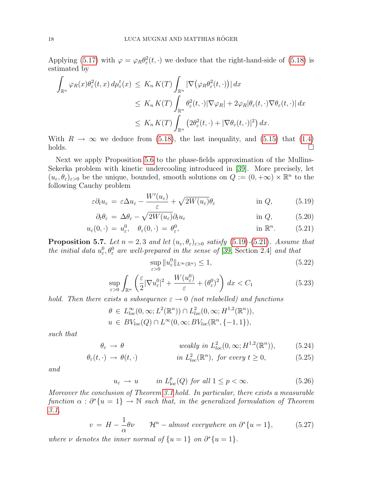Applying [\(5.17\)](#page-18-3) with  $\varphi = \varphi_R \theta_\varepsilon^2(t, \cdot)$  we deduce that the right-hand-side of [\(5.18\)](#page-18-4) is estimated by

$$
\int_{\mathbb{R}^n} \varphi_R(x) \theta_{\varepsilon}^2(t, x) d\mu_{\varepsilon}^t(x) \le K_n K(T) \int_{\mathbb{R}^n} |\nabla (\varphi_R \theta_{\varepsilon}^2(t, \cdot))| dx
$$
  
\n
$$
\le K_n K(T) \int_{\mathbb{R}^n} \theta_{\varepsilon}^2(t, \cdot) |\nabla \varphi_R| + 2\varphi_R |\theta_{\varepsilon}(t, \cdot) \nabla \theta_{\varepsilon}(t, \cdot)| dx
$$
  
\n
$$
\le K_n K(T) \int_{\mathbb{R}^n} (2\theta_{\varepsilon}^2(t, \cdot) + |\nabla \theta_{\varepsilon}(t, \cdot)|^2) dx.
$$

With  $R \to \infty$  we deduce from [\(5.18\)](#page-18-4), the last inequality, and [\(5.15\)](#page-18-1) that [\(1.4\)](#page-2-2)  $holds.$ 

Next we apply Proposition [5.6](#page-18-5) to the phase-fields approximation of the Mullins-Sekerka problem with kinetic undercooling introduced in [\[39\]](#page-24-1). More precisely, let  $(u_{\varepsilon}, \theta_{\varepsilon})_{\varepsilon>0}$  be the unique, bounded, smooth solutions on  $Q := (0, +\infty) \times \mathbb{R}^n$  to the following Cauchy problem

$$
\varepsilon \partial_t u_\varepsilon = \varepsilon \Delta u_\varepsilon - \frac{W'(u_\varepsilon)}{\varepsilon} + \sqrt{2W(u_\varepsilon)} \theta_\varepsilon \qquad \text{in } Q,
$$
 (5.19)

$$
\partial_t \theta_{\varepsilon} = \Delta \theta_{\varepsilon} - \sqrt{2W(u_{\varepsilon})} \partial_t u_{\varepsilon} \qquad \text{in } Q, \qquad (5.20)
$$

$$
u_{\varepsilon}(0,\cdot) = u_{\varepsilon}^0, \quad \theta_{\varepsilon}(0,\cdot) = \theta_{\varepsilon}^0, \qquad \text{in } \mathbb{R}^n. \tag{5.21}
$$

<span id="page-19-2"></span>**Proposition 5.7.** Let  $n = 2, 3$  and let  $(u_{\varepsilon}, \theta_{\varepsilon})_{\varepsilon > 0}$  satisfy [\(5.19\)](#page-19-0)-[\(5.21\)](#page-19-1). Assume that the initial data  $u_{\varepsilon}^0, \theta_{\varepsilon}^0$  are well-prepared in the sense of [\[39,](#page-24-1) Section 2.4] and that

<span id="page-19-7"></span><span id="page-19-4"></span><span id="page-19-3"></span><span id="page-19-1"></span><span id="page-19-0"></span>
$$
\sup_{\varepsilon>0} \|u_{\varepsilon}^{0}\|_{L^{\infty}(\mathbb{R}^{n})} \le 1,
$$
\n(5.22)

$$
\sup_{\varepsilon>0} \int_{\mathbb{R}^n} \left( \frac{\varepsilon}{2} |\nabla u_{\varepsilon}^0|^2 + \frac{W(u_{\varepsilon}^0)}{\varepsilon} + (\theta_{\varepsilon}^0)^2 \right) dx < C_1
$$
\n(5.23)

hold. Then there exists a subsequence  $\varepsilon \to 0$  (not relabelled) and functions

$$
\theta \in L^{\infty}_{loc}(0,\infty; L^{2}(\mathbb{R}^{n})) \cap L^{2}_{loc}(0,\infty; H^{1,2}(\mathbb{R}^{n})),
$$
  

$$
u \in BV_{loc}(Q) \cap L^{\infty}(0,\infty; BV_{loc}(\mathbb{R}^{n}, \{-1,1\}),
$$

such that

$$
\theta_{\varepsilon} \to \theta \qquad \text{weakly in } L^2_{loc}(0,\infty;H^{1,2}(\mathbb{R}^n)),\tag{5.24}
$$

$$
\theta_{\varepsilon}(t,\cdot) \to \theta(t,\cdot) \qquad \text{in } L^2_{loc}(\mathbb{R}^n), \text{ for every } t \ge 0,
$$
 (5.25)

and

<span id="page-19-6"></span><span id="page-19-5"></span>
$$
u_{\varepsilon} \to u \qquad \text{in } L^p_{\text{loc}}(Q) \text{ for all } 1 \le p < \infty. \tag{5.26}
$$

Moreover the conclusion of Theorem [3.1](#page-6-4) hold. In particular, there exists a measurable function  $\alpha : \partial^*\{u = 1\} \to \mathbb{N}$  such that, in the generalized formulation of Theorem [3.1,](#page-6-4)

$$
v = H - \frac{1}{\alpha}\theta\nu \qquad \mathcal{H}^n - \text{almost everywhere on } \partial^*\{u = 1\},\tag{5.27}
$$

where  $\nu$  denotes the inner normal of  $\{u=1\}$  on  $\partial^*\{u=1\}$ .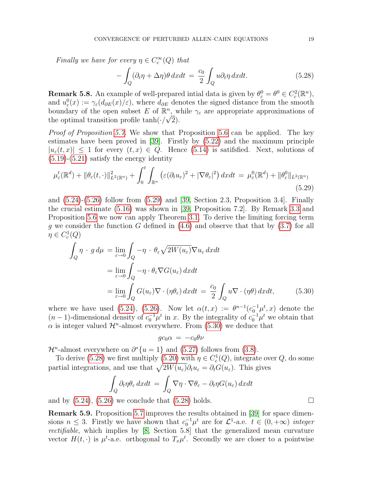Finally we have for every  $\eta \in C_c^{\infty}(Q)$  that

<span id="page-20-2"></span>
$$
-\int_{Q} (\partial_{t}\eta + \Delta \eta) \theta \, dxdt = \frac{c_{0}}{2} \int_{Q} u \partial_{t}\eta \, dxdt. \tag{5.28}
$$

**Remark 5.8.** An example of well-prepared intial data is given by  $\theta_{\varepsilon}^0 = \theta^0 \in C_c^2(\mathbb{R}^n)$ , and  $u_{\varepsilon}^{0}(x) := \gamma_{\varepsilon}(d_{\partial E}(x)/\varepsilon)$ , where  $d_{\partial E}$  denotes the signed distance from the smooth boundary of the open subset E of  $\mathbb{R}^n$ , while  $\gamma_{\varepsilon}$  are appropriate approximations of the optimal transition profile tanh $(\cdot/\sqrt{2})$ .

Proof of Proposition [5.7.](#page-19-2) We show that Proposition [5.6](#page-18-5) can be applied. The key estimates have been proved in [\[39\]](#page-24-1). Firstly by [\(5.22\)](#page-19-3) and the maximum principle  $|u_{\varepsilon}(t,x)| \leq 1$  for every  $(t,x) \in Q$ . Hence [\(5.14\)](#page-18-0) is satifsfied. Next, solutions of  $(5.19)-(5.21)$  $(5.19)-(5.21)$  $(5.19)-(5.21)$  satisfy the energy identity

$$
\mu_{\varepsilon}^{t}(\mathbb{R}^{d}) + \|\theta_{\varepsilon}(t,\cdot)\|_{L^{2}(\mathbb{R}^{n})}^{2} + \int_{0}^{t} \int_{\mathbb{R}^{n}} \left(\varepsilon(\partial_{t}u_{\varepsilon})^{2} + |\nabla\theta_{\varepsilon}|^{2}\right)dxdt = \mu_{\varepsilon}^{0}(\mathbb{R}^{d}) + \|\theta_{\varepsilon}^{0}\|_{L^{2}(\mathbb{R}^{n})}
$$
\n(5.29)

and [\(5.24\)](#page-19-4)-[\(5.26\)](#page-19-5) follow from [\(5.29\)](#page-20-0) and [\[39,](#page-24-1) Section 2.3, Proposition 3.4]. Finally the crucial estimate [\(5.16\)](#page-18-2) was shown in [\[39,](#page-24-1) Proposition 7.2]. By Remark [3.3](#page-7-5) and Proposition [5.6](#page-18-5) we now can apply Theorem [3.1.](#page-6-4) To derive the limiting forcing term g we consider the function G defined in  $(4.6)$  and observe that that by  $(3.7)$  for all  $\eta \in C_c^1(Q)$ 

$$
\int_{Q} \eta \cdot g d\mu = \lim_{\varepsilon \to 0} \int_{Q} -\eta \cdot \theta_{\varepsilon} \sqrt{2W(u_{\varepsilon})} \nabla u_{\varepsilon} dxdt
$$
\n
$$
= \lim_{\varepsilon \to 0} \int_{Q} -\eta \cdot \theta_{\varepsilon} \nabla G(u_{\varepsilon}) dxdt
$$
\n
$$
= \lim_{\varepsilon \to 0} \int_{Q} G(u_{\varepsilon}) \nabla \cdot (\eta \theta_{\varepsilon}) dxdt = \frac{c_{0}}{2} \int_{Q} u \nabla \cdot (\eta \theta) dxdt, \qquad (5.30)
$$

where we have used [\(5.24\)](#page-19-4), [\(5.26\)](#page-19-5). Now let  $\alpha(t,x) := \theta^{n-1}(c_0^{-1}\mu^t,x)$  denote the  $(n-1)$ -dimensional density of  $c_0^{-1}\mu^t$  in x. By the integrality of  $c_0^{-1}\mu^t$  we obtain that  $\alpha$  is integer valued  $\mathcal{H}^n$ -almost everywhere. From [\(5.30\)](#page-20-1) we deduce that

<span id="page-20-0"></span>
$$
gc_0\alpha = -c_0\theta\nu
$$

 $\mathcal{H}^n$ -almost everywhere on  $\partial^*\{u=1\}$  and [\(5.27\)](#page-19-6) follows from [\(3.8\)](#page-7-0).

To derive [\(5.28\)](#page-20-2) we first multiply [\(5.20\)](#page-19-7) with  $\eta \in C_c^1(Q)$ , integrate over  $Q$ , do some partial integrations, and use that  $\sqrt{2W(u_{\varepsilon})}\partial_t u_{\varepsilon} = \partial_t G(u_{\varepsilon})$ . This gives

$$
\int_{Q} \partial_t \eta \theta_{\varepsilon} dx dt = \int_{Q} \nabla \eta \cdot \nabla \theta_{\varepsilon} - \partial_t \eta G(u_{\varepsilon}) dx dt
$$

and by  $(5.24)$ ,  $(5.26)$  we conclude that  $(5.28)$  holds.

Remark 5.9. Proposition [5.7](#page-19-2) improves the results obtained in [\[39\]](#page-24-1) for space dimensions  $n \leq 3$ . Firstly we have shown that  $c_0^{-1} \mu^t$  are for  $\mathcal{L}^1$ -a.e.  $t \in (0, +\infty)$  integer rectifiable, which implies by [\[8,](#page-23-8) Section 5.8] that the generalized mean curvature vector  $H(t, \cdot)$  is  $\mu^t$ -a.e. orthogonal to  $T_x \mu^t$ . Secondly we are closer to a pointwise

<span id="page-20-1"></span>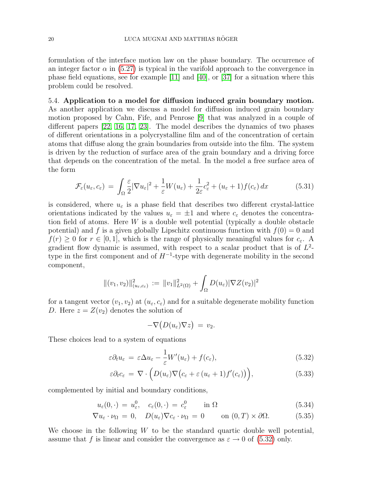formulation of the interface motion law on the phase boundary. The occurrence of an integer factor  $\alpha$  in [\(5.27\)](#page-19-6) is typical in the varifold approach to the convergence in phase field equations, see for example  $[11]$  and  $[40]$ , or  $[37]$  for a situation where this problem could be resolved.

5.4. Application to a model for diffusion induced grain boundary motion. As another application we discuss a model for diffusion induced grain boundary motion proposed by Cahn, Fife, and Penrose [\[9\]](#page-23-0) that was analyzed in a couple of different papers [\[22,](#page-23-20) [16,](#page-23-21) [17,](#page-23-22) [23\]](#page-23-23). The model describes the dynamics of two phases of different orientations in a polycrystalline film and of the concentration of certain atoms that diffuse along the grain boundaries from outside into the film. The system is driven by the reduction of surface area of the grain boundary and a driving force that depends on the concentration of the metal. In the model a free surface area of the form

$$
\mathcal{F}_{\varepsilon}(u_{\varepsilon}, c_{\varepsilon}) = \int_{\Omega} \frac{\varepsilon}{2} |\nabla u_{\varepsilon}|^2 + \frac{1}{\varepsilon} W(u_{\varepsilon}) + \frac{1}{2\varepsilon} c_{\varepsilon}^2 + (u_{\varepsilon} + 1) f(c_{\varepsilon}) dx \tag{5.31}
$$

is considered, where  $u_{\varepsilon}$  is a phase field that describes two different crystal-lattice orientations indicated by the values  $u_{\varepsilon} = \pm 1$  and where  $c_{\varepsilon}$  denotes the concentration field of atoms. Here  $W$  is a double well potential (typically a double obstacle potential) and f is a given globally Lipschitz continuous function with  $f(0) = 0$  and  $f(r) \geq 0$  for  $r \in [0, 1]$ , which is the range of physically meaningful values for  $c_{\varepsilon}$ . gradient flow dynamic is assumed, with respect to a scalar product that is of  $L^2$ type in the first component and of  $H^{-1}$ -type with degenerate mobility in the second component,

$$
\|(v_1, v_2)\|_{(u_{\varepsilon}, c_{\varepsilon})}^2 := \|v_1\|_{L^2(\Omega)}^2 + \int_{\Omega} D(u_{\varepsilon}) |\nabla Z(v_2)|^2
$$

for a tangent vector  $(v_1, v_2)$  at  $(u_\varepsilon, c_\varepsilon)$  and for a suitable degenerate mobility function D. Here  $z = Z(v_2)$  denotes the solution of

<span id="page-21-2"></span><span id="page-21-1"></span><span id="page-21-0"></span>
$$
-\nabla\big(D(u_\varepsilon)\nabla z\big) = v_2.
$$

These choices lead to a system of equations

$$
\varepsilon \partial_t u_\varepsilon = \varepsilon \Delta u_\varepsilon - \frac{1}{\varepsilon} W'(u_\varepsilon) + f(c_\varepsilon), \tag{5.32}
$$

$$
\varepsilon \partial_t c_{\varepsilon} = \nabla \cdot \left( D(u_{\varepsilon}) \nabla \left( c_{\varepsilon} + \varepsilon \left( u_{\varepsilon} + 1 \right) f'(c_{\varepsilon}) \right) \right), \tag{5.33}
$$

complemented by initial and boundary conditions,

$$
u_{\varepsilon}(0,\cdot) = u_{\varepsilon}^0, \quad c_{\varepsilon}(0,\cdot) = c_{\varepsilon}^0 \qquad \text{in } \Omega \tag{5.34}
$$

$$
\nabla u_{\varepsilon} \cdot \nu_{\Omega} = 0, \quad D(u_{\varepsilon}) \nabla c_{\varepsilon} \cdot \nu_{\Omega} = 0 \qquad \text{on } (0, T) \times \partial \Omega. \tag{5.35}
$$

We choose in the following  $W$  to be the standard quartic double well potential, assume that f is linear and consider the convergence as  $\varepsilon \to 0$  of [\(5.32\)](#page-21-0) only.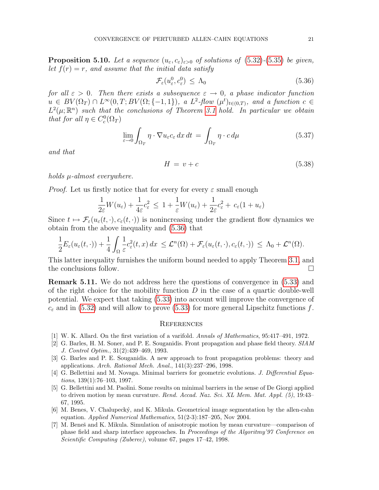**Proposition 5.10.** Let a sequence  $(u_{\varepsilon}, c_{\varepsilon})_{\varepsilon>0}$  of solutions of [\(5.32\)](#page-21-0)-[\(5.35\)](#page-21-1) be given, let  $f(r) = r$ , and assume that the initial data satisfy

<span id="page-22-7"></span>
$$
\mathcal{F}_{\varepsilon}(u_{\varepsilon}^{0}, c_{\varepsilon}^{0}) \leq \Lambda_{0} \tag{5.36}
$$

for all  $\varepsilon > 0$ . Then there exists a subsequence  $\varepsilon \to 0$ , a phase indicator function  $u \in BV(\Omega_T) \cap L^{\infty}(0,T;BV(\Omega;\{-1,1\}), \ a \ L^2\text{-}flow \ (\mu^t)_{t \in (0,T)}, \ and \ a \ function \ c \in$  $L^2(\mu;\mathbb{R}^n)$  such that the conclusions of Theorem [3.1](#page-6-4) hold. In particular we obtain that for all  $\eta \in C_c^0(\Omega_T)$ 

$$
\lim_{\varepsilon \to 0} \int_{\Omega_T} \eta \cdot \nabla u_{\varepsilon} c_{\varepsilon} \, dx \, dt = \int_{\Omega_T} \eta \cdot c \, d\mu \tag{5.37}
$$

and that

$$
H = v + c \tag{5.38}
$$

holds µ-almost everywhere.

*Proof.* Let us firstly notice that for every for every  $\varepsilon$  small enough

$$
\frac{1}{2\varepsilon}W(u_{\varepsilon}) + \frac{1}{4\varepsilon}c_{\varepsilon}^2 \le 1 + \frac{1}{\varepsilon}W(u_{\varepsilon}) + \frac{1}{2\varepsilon}c_{\varepsilon}^2 + c_{\varepsilon}(1 + u_{\varepsilon})
$$

Since  $t \mapsto \mathcal{F}_{\varepsilon}(u_{\varepsilon}(t,\cdot), c_{\varepsilon}(t,\cdot))$  is nonincreasing under the gradient flow dynamics we obtain from the above inequality and [\(5.36\)](#page-22-7) that

$$
\frac{1}{2}E_{\varepsilon}(u_{\varepsilon}(t,\cdot))+\frac{1}{4}\int_{\Omega}\frac{1}{\varepsilon}c_{\varepsilon}^{2}(t,x)\,dx\,\leq\mathcal{L}^{n}(\Omega)+\mathcal{F}_{\varepsilon}(u_{\varepsilon}(t,\cdot),c_{\varepsilon}(t,\cdot))\,\leq\,\Lambda_{0}+\mathcal{L}^{n}(\Omega).
$$

This latter inequality furnishes the uniform bound needed to apply Theorem [3.1,](#page-6-4) and the conclusions follow.  $\Box$ 

Remark 5.11. We do not address here the questions of convergence in [\(5.33\)](#page-21-2) and of the right choice for the mobility function  $D$  in the case of a quartic double-well potential. We expect that taking [\(5.33\)](#page-21-2) into account will improve the convergence of  $c_{\varepsilon}$  and in [\(5.32\)](#page-21-0) and will allow to prove [\(5.33\)](#page-21-2) for more general Lipschitz functions f.

#### **REFERENCES**

- <span id="page-22-6"></span>[1] W. K. Allard. On the first variation of a varifold. Annals of Mathematics, 95:417–491, 1972.
- <span id="page-22-2"></span>[2] G. Barles, H. M. Soner, and P. E. Souganidis. Front propagation and phase field theory. SIAM J. Control Optim., 31(2):439–469, 1993.
- <span id="page-22-5"></span>[3] G. Barles and P. E. Souganidis. A new approach to front propagation problems: theory and applications. Arch. Rational Mech. Anal., 141(3):237–296, 1998.
- <span id="page-22-3"></span>[4] G. Bellettini and M. Novaga. Minimal barriers for geometric evolutions. J. Differential Equations, 139(1):76–103, 1997.
- <span id="page-22-4"></span>[5] G. Bellettini and M. Paolini. Some results on minimal barriers in the sense of De Giorgi applied to driven motion by mean curvature. Rend. Accad. Naz. Sci. XL Mem. Mat. Appl. (5), 19:43– 67, 1995.
- <span id="page-22-1"></span>[6] M. Benes, V. Chalupeck´y, and K. Mikula. Geometrical image segmentation by the allen-cahn equation. Applied Numerical Mathematics, 51(2-3):187–205, Nov 2004.
- <span id="page-22-0"></span>[7] M. Beneš and K. Mikula. Simulation of anisotropic motion by mean curvature—comparison of phase field and sharp interface approaches. In Proceedings of the Algoritmy'97 Conference on Scientific Computing (Zuberec), volume 67, pages 17–42, 1998.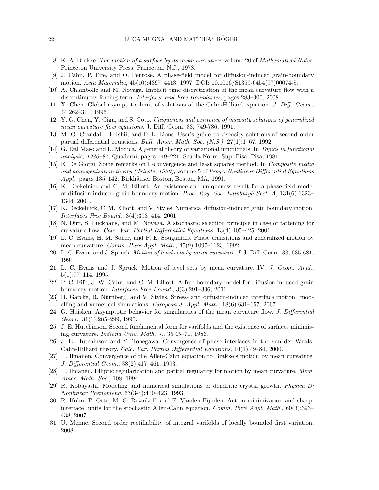- <span id="page-23-8"></span>[8] K. A. Brakke. The motion of a surface by its mean curvature, volume 20 of Mathematical Notes. Princeton University Press, Princeton, N.J., 1978.
- <span id="page-23-0"></span>[9] J. Cahn, P. Fife, and O. Penrose. A phase-field model for diffusion-induced grain-boundary motion. Acta Materialia, 45(10):4397–4413, 1997. DOI: 10.1016/S1359-6454(97)00074-8.
- <span id="page-23-6"></span>[10] A. Chambolle and M. Novaga. Implicit time discretization of the mean curvature flow with a discontinuous forcing term. Interfaces and Free Boundaries, pages 283–300, 2008.
- <span id="page-23-9"></span>[11] X. Chen. Global asymptotic limit of solutions of the Cahn-Hilliard equation. J. Diff. Geom., 44:262–311, 1996.
- <span id="page-23-3"></span>[12] Y. G. Chen, Y. Giga, and S. Goto. Uniqueness and existence of viscosity solutions of generalized mean curvature flow equations. J. Diff. Geom. 33, 749-786, 1991.
- <span id="page-23-4"></span>[13] M. G. Crandall, H. Ishii, and P.-L. Lions. User's guide to viscosity solutions of second order partial differential equations. Bull. Amer. Math. Soc. (N.S.), 27(1):1–67, 1992.
- <span id="page-23-15"></span>[14] G. Dal Maso and L. Modica. A general theory of variational functionals. In Topics in functional analysis, 1980–81, Quaderni, pages 149–221. Scuola Norm. Sup. Pisa, Pisa, 1981.
- <span id="page-23-12"></span>[15] E. De Giorgi. Some remarks on Γ-convergence and least squares method. In *Composite media* and homogenization theory (Trieste, 1990), volume 5 of Progr. Nonlinear Differential Equations Appl., pages 135–142. Birkhäuser Boston, Boston, MA, 1991.
- <span id="page-23-21"></span>[16] K. Deckelnick and C. M. Elliott. An existence and uniqueness result for a phase-field model of diffusion-induced grain-boundary motion. Proc. Roy. Soc. Edinburgh Sect. A, 131(6):1323– 1344, 2001.
- <span id="page-23-22"></span>[17] K. Deckelnick, C. M. Elliott, and V. Styles. Numerical diffusion-induced grain boundary motion. Interfaces Free Bound., 3(4):393–414, 2001.
- <span id="page-23-7"></span>[18] N. Dirr, S. Luckhaus, and M. Novaga. A stochastic selection principle in case of fattening for curvature flow. Calc. Var. Partial Differential Equations, 13(4):405–425, 2001.
- <span id="page-23-1"></span>[19] L. C. Evans, H. M. Soner, and P. E. Souganidis. Phase transitions and generalized motion by mean curvature. Comm. Pure Appl. Math., 45(9):1097–1123, 1992.
- <span id="page-23-5"></span>[20] L. C. Evans and J. Spruck. Motion of level sets by mean curvature. I. J. Diff. Geom. 33, 635-681, 1991.
- <span id="page-23-18"></span>[21] L. C. Evans and J. Spruck. Motion of level sets by mean curvature. IV. J. Geom. Anal., 5(1):77–114, 1995.
- <span id="page-23-20"></span>[22] P. C. Fife, J. W. Cahn, and C. M. Elliott. A free-boundary model for diffusion-induced grain boundary motion. Interfaces Free Bound., 3(3):291–336, 2001.
- <span id="page-23-23"></span>[23] H. Garcke, R. Nürnberg, and V. Styles. Stress- and diffusion-induced interface motion: modelling and numerical simulations. European J. Appl. Math., 18(6):631–657, 2007.
- <span id="page-23-13"></span>[24] G. Huisken. Asymptotic behavior for singularities of the mean curvature flow. J. Differential Geom., 31(1):285–299, 1990.
- <span id="page-23-16"></span>[25] J. E. Hutchinson. Second fundamental form for varifolds and the existence of surfaces minimising curvature. Indiana Univ. Math. J., 35:45–71, 1986.
- <span id="page-23-10"></span>[26] J. E. Hutchinson and Y. Tonegawa. Convergence of phase interfaces in the van der Waals-Cahn-Hilliard theory. Calc. Var. Partial Differential Equations, 10(1):49–84, 2000.
- <span id="page-23-2"></span>[27] T. Ilmanen. Convergence of the Allen-Cahn equation to Brakke's motion by mean curvature. J. Differential Geom., 38(2):417–461, 1993.
- <span id="page-23-17"></span>[28] T. Ilmanen. Elliptic regularization and partial regularity for motion by mean curvature. Mem. Amer. Math. Soc., 108, 1994.
- <span id="page-23-19"></span>[29] R. Kobayashi. Modeling and numerical simulations of dendritic crystal growth. Physica D: Nonlinear Phenomena, 63(3-4):410–423, 1993.
- <span id="page-23-11"></span>[30] R. Kohn, F. Otto, M. G. Reznikoff, and E. Vanden-Eijnden. Action minimization and sharpinterface limits for the stochastic Allen-Cahn equation. Comm. Pure Appl. Math., 60(3):393-438, 2007.
- <span id="page-23-14"></span>[31] U. Menne. Second order rectifiability of integral varifolds of locally bounded first variation, 2008.